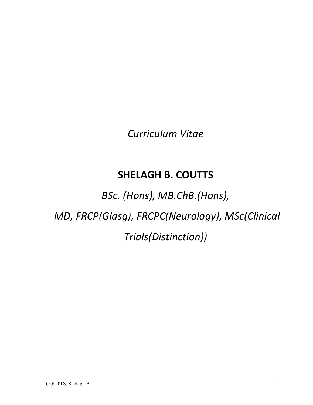*Curriculum Vitae*

# **SHELAGH B. COUTTS**

*BSc. (Hons), MB.ChB.(Hons),*

*MD, FRCP(Glasg), FRCPC(Neurology), MSc(Clinical* 

*Trials(Distinction))*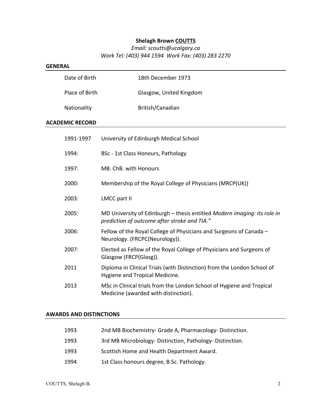# **Shelagh Brown COUTTS**

# *Email: scoutts@ucalgary.ca Work Tel: (403) 944 1594 Work Fax: (403) 283 2270*

| <b>GENERAL</b>         |                                                                                                                          |  |
|------------------------|--------------------------------------------------------------------------------------------------------------------------|--|
| Date of Birth          | 18th December 1973                                                                                                       |  |
| Place of Birth         | Glasgow, United Kingdom                                                                                                  |  |
| Nationality            | British/Canadian                                                                                                         |  |
| <b>ACADEMIC RECORD</b> |                                                                                                                          |  |
| 1991-1997              | University of Edinburgh Medical School                                                                                   |  |
| 1994:                  | BSc - 1st Class Honours, Pathology                                                                                       |  |
| 1997:                  | MB. ChB. with Honours                                                                                                    |  |
| 2000:                  | Membership of the Royal College of Physicians (MRCP(UK))                                                                 |  |
| 2003:                  | <b>LMCC part II</b>                                                                                                      |  |
| 2005:                  | MD University of Edinburgh - thesis entitled Modern imaging: its role in<br>prediction of outcome after stroke and TIA." |  |
| 2006:                  | Fellow of the Royal College of Physicians and Surgeons of Canada -<br>Neurology. (FRCPC(Neurology)).                     |  |
| 2007:                  | Elected as Fellow of the Royal College of Physicians and Surgeons of<br>Glasgow (FRCP(Glasg)).                           |  |
| 2011                   | Diploma in Clinical Trials (with Distinction) from the London School of<br>Hygiene and Tropical Medicine.                |  |
| 2013                   | MSc in Clinical trials from the London School of Hygiene and Tropical<br>Medicine (awarded with distinction).            |  |
|                        |                                                                                                                          |  |

#### **AWARDS AND DISTINCTIONS**

| 1993 | 2nd MB Biochemistry- Grade A, Pharmacology- Distinction. |
|------|----------------------------------------------------------|
| 1993 | 3rd MB Microbiology-Distinction, Pathology-Distinction.  |
| 1993 | Scottish Home and Health Department Award.               |
| 1994 | 1st Class honours degree, B.Sc. Pathology.               |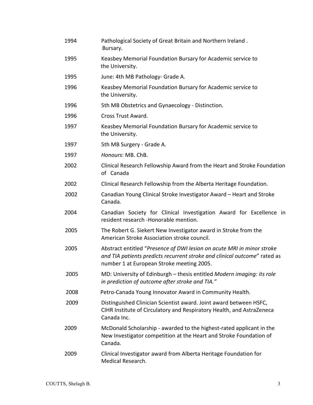| 1994 | Pathological Society of Great Britain and Northern Ireland.<br>Bursary.                                                                                                                          |
|------|--------------------------------------------------------------------------------------------------------------------------------------------------------------------------------------------------|
| 1995 | Keasbey Memorial Foundation Bursary for Academic service to<br>the University.                                                                                                                   |
| 1995 | June: 4th MB Pathology- Grade A.                                                                                                                                                                 |
| 1996 | Keasbey Memorial Foundation Bursary for Academic service to<br>the University.                                                                                                                   |
| 1996 | 5th MB Obstetrics and Gynaecology - Distinction.                                                                                                                                                 |
| 1996 | Cross Trust Award.                                                                                                                                                                               |
| 1997 | Keasbey Memorial Foundation Bursary for Academic service to<br>the University.                                                                                                                   |
| 1997 | 5th MB Surgery - Grade A.                                                                                                                                                                        |
| 1997 | Honours: MB. ChB.                                                                                                                                                                                |
| 2002 | Clinical Research Fellowship Award from the Heart and Stroke Foundation<br>of Canada                                                                                                             |
| 2002 | Clinical Research Fellowship from the Alberta Heritage Foundation.                                                                                                                               |
| 2002 | Canadian Young Clinical Stroke Investigator Award - Heart and Stroke<br>Canada.                                                                                                                  |
| 2004 | Canadian Society for Clinical Investigation Award for Excellence in<br>resident research -Honorable mention.                                                                                     |
| 2005 | The Robert G. Siekert New Investigator award in Stroke from the<br>American Stroke Association stroke council.                                                                                   |
| 2005 | Abstract entitled "Presence of DWI lesion on acute MRI in minor stroke<br>and TIA patients predicts recurrent stroke and clinical outcome" rated as<br>number 1 at European Stroke meeting 2005. |
| 2005 | MD: University of Edinburgh - thesis entitled Modern imaging: its role<br>in prediction of outcome after stroke and TIA."                                                                        |
| 2008 | Petro-Canada Young Innovator Award in Community Health.                                                                                                                                          |
| 2009 | Distinguished Clinician Scientist award. Joint award between HSFC,<br>CIHR Institute of Circulatory and Respiratory Health, and AstraZeneca<br>Canada Inc.                                       |
| 2009 | McDonald Scholarship - awarded to the highest-rated applicant in the<br>New Investigator competition at the Heart and Stroke Foundation of<br>Canada.                                            |
| 2009 | Clinical Investigator award from Alberta Heritage Foundation for<br>Medical Research.                                                                                                            |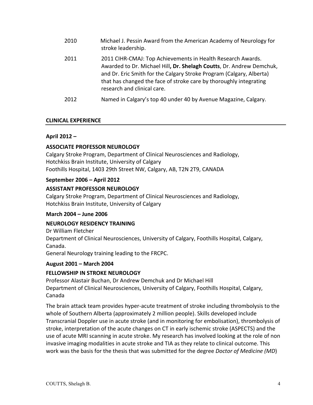| 2010 | Michael J. Pessin Award from the American Academy of Neurology for<br>stroke leadership.                                                                                                                                                                                                                         |
|------|------------------------------------------------------------------------------------------------------------------------------------------------------------------------------------------------------------------------------------------------------------------------------------------------------------------|
| 2011 | 2011 CIHR-CMAJ: Top Achievements in Health Research Awards.<br>Awarded to Dr. Michael Hill, Dr. Shelagh Coutts, Dr. Andrew Demchuk,<br>and Dr. Eric Smith for the Calgary Stroke Program (Calgary, Alberta)<br>that has changed the face of stroke care by thoroughly integrating<br>research and clinical care. |
| 2012 | Named in Calgary's top 40 under 40 by Avenue Magazine, Calgary.                                                                                                                                                                                                                                                  |

#### **CLINICAL EXPERIENCE**

#### **April 2012 –**

#### **ASSOCIATE PROFESSOR NEUROLOGY**

Calgary Stroke Program, Department of Clinical Neurosciences and Radiology, Hotchkiss Brain Institute, University of Calgary Foothills Hospital, 1403 29th Street NW, Calgary, AB, T2N 2T9, CANADA

#### **September 2006 – April 2012**

#### **ASSISTANT PROFESSOR NEUROLOGY**

Calgary Stroke Program, Department of Clinical Neurosciences and Radiology, Hotchkiss Brain Institute, University of Calgary

#### **March 2004 – June 2006**

#### **NEUROLOGY RESIDENCY TRAINING**

Dr William Fletcher

Department of Clinical Neurosciences, University of Calgary, Foothills Hospital, Calgary, Canada.

General Neurology training leading to the FRCPC.

#### **August 2001 – March 2004**

#### **FELLOWSHIP IN STROKE NEUROLOGY**

Professor Alastair Buchan, Dr Andrew Demchuk and Dr Michael Hill Department of Clinical Neurosciences, University of Calgary, Foothills Hospital, Calgary, Canada

The brain attack team provides hyper-acute treatment of stroke including thrombolysis to the whole of Southern Alberta (approximately 2 million people). Skills developed include Transcranial Doppler use in acute stroke (and in monitoring for embolisation), thrombolysis of stroke, interpretation of the acute changes on CT in early ischemic stroke (ASPECTS) and the use of acute MRI scanning in acute stroke. My research has involved looking at the role of non invasive imaging modalities in acute stroke and TIA as they relate to clinical outcome. This work was the basis for the thesis that was submitted for the degree *Doctor of Medicine (MD*)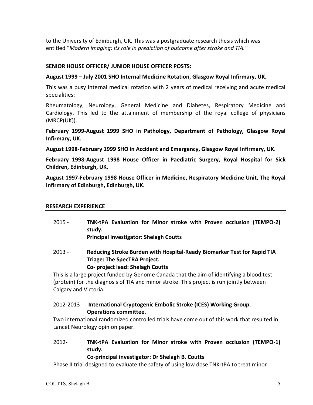to the University of Edinburgh, UK. This was a postgraduate research thesis which was entitled "Modern imaging: its role in prediction of outcome after stroke and TIA."

#### **SENIOR HOUSE OFFICER/ JUNIOR HOUSE OFFICER POSTS:**

#### August 1999 – July 2001 SHO Internal Medicine Rotation, Glasgow Royal Infirmary, UK.

This was a busy internal medical rotation with 2 years of medical receiving and acute medical specialities:

Rheumatology, Neurology, General Medicine and Diabetes, Respiratory Medicine and Cardiology. This led to the attainment of membership of the royal college of physicians (MRCP(UK)). 

February 1999-August 1999 SHO in Pathology, Department of Pathology, Glasgow Royal **Infirmary, UK.** 

August 1998-February 1999 SHO in Accident and Emergency, Glasgow Royal Infirmary, UK.

February 1998-August 1998 House Officer in Paediatric Surgery, Royal Hospital for Sick **Children, Edinburgh, UK.**

August 1997-February 1998 House Officer in Medicine, Respiratory Medicine Unit, The Royal **Infirmary of Edinburgh, Edinburgh, UK.** 

#### **RESEARCH EXPERIENCE**

- 2015 **TNK-tPA Evaluation for Minor stroke with Proven occlusion (TEMPO-2) study. Principal investigator: Shelagh Coutts**
- 2013 Reducing Stroke Burden with Hospital-Ready Biomarker Test for Rapid TIA **Triage: The SpecTRA Project. Co- project lead: Shelagh Coutts**

This is a large project funded by Genome Canada that the aim of identifying a blood test (protein) for the diagnosis of TIA and minor stroke. This project is run jointly between Calgary and Victoria.

#### 2012-2013 **International Cryptogenic Embolic Stroke (ICES) Working Group. Operations committee.**

Two international randomized controlled trials have come out of this work that resulted in Lancet Neurology opinion paper.

# 2012- **TNK-tPA Evaluation for Minor stroke with Proven occlusion (TEMPO-1) study.**

#### **Co-principal investigator: Dr Shelagh B. Coutts**

Phase II trial designed to evaluate the safety of using low dose TNK-tPA to treat minor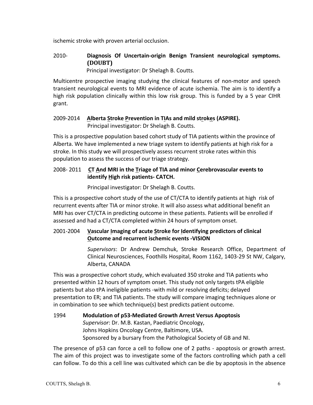ischemic stroke with proven arterial occlusion.

# 2010- **Diagnosis Of Uncertain-origin Benign Transient neurological symptoms. (DOUBT)**

Principal investigator: Dr Shelagh B. Coutts.

Multicentre prospective imaging studying the clinical features of non-motor and speech transient neurological events to MRI evidence of acute ischemia. The aim is to identify a high risk population clinically within this low risk group. This is funded by a 5 year CIHR grant.

#### 2009-2014  **Alberta Stroke Prevention in TIAs and mild strokes (ASPIRE).** Principal investigator: Dr Shelagh B. Coutts.

This is a prospective population based cohort study of TIA patients within the province of Alberta. We have implemented a new triage system to identify patients at high risk for a stroke. In this study we will prospectively assess recurrent stroke rates within this population to assess the success of our triage strategy.

# 2008- 2011 CT And MRI in the Triage of TIA and minor Cerebrovascular events to **identify High risk patients- CATCH.**

Principal investigator: Dr Shelagh B. Coutts.

This is a prospective cohort study of the use of CT/CTA to identify patients at high risk of recurrent events after TIA or minor stroke. It will also assess what additional benefit an MRI has over CT/CTA in predicting outcome in these patients. Patients will be enrolled if assessed and had a CT/CTA completed within 24 hours of symptom onset.

# 2001-2004 **Vascular Imaging of acute Stroke for Identifying predictors of clinical Outcome and recurrent ischemic events -VISION**

*Supervisors*: Dr Andrew Demchuk, Stroke Research Office, Department of Clinical Neurosciences, Foothills Hospital, Room 1162, 1403-29 St NW, Calgary, Alberta, CANADA

This was a prospective cohort study, which evaluated 350 stroke and TIA patients who presented within 12 hours of symptom onset. This study not only targets tPA eligible patients but also tPA ineligible patients -with mild or resolving deficits; delayed presentation to ER; and TIA patients. The study will compare imaging techniques alone or in combination to see which technique(s) best predicts patient outcome.

#### 1994 **Modulation of p53-Mediated Growth Arrest Versus Apoptosis** Supervisor: Dr. M.B. Kastan, Paediatric Oncology, Johns Hopkins Oncology Centre, Baltimore, USA. Sponsored by a bursary from the Pathological Society of GB and NI.

The presence of p53 can force a cell to follow one of 2 paths - apoptosis or growth arrest. The aim of this project was to investigate some of the factors controlling which path a cell can follow. To do this a cell line was cultivated which can be die by apoptosis in the absence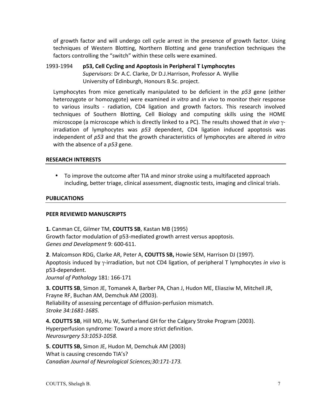of growth factor and will undergo cell cycle arrest in the presence of growth factor. Using techniques of Western Blotting, Northern Blotting and gene transfection techniques the factors controlling the "switch" within these cells were examined.

1993-1994 **p53, Cell Cycling and Apoptosis in Peripheral T Lymphocytes** *Supervisors*: Dr A.C. Clarke, Dr D.J.Harrison, Professor A. Wyllie University of Edinburgh, Honours B.Sc. project.

Lymphocytes from mice genetically manipulated to be deficient in the p53 gene (either heterozygote or homozygote) were examined *in vitro* and *in vivo* to monitor their response to various insults - radiation, CD4 ligation and growth factors. This research involved techniques of Southern Blotting, Cell Biology and computing skills using the HOME microscope (a microscope which is directly linked to a PC). The results showed that *in vivo* γirradiation of lymphocytes was  $p53$  dependent, CD4 ligation induced apoptosis was independent of  $p53$  and that the growth characteristics of lymphocytes are altered *in vitro* with the absence of a p53 gene.

#### **RESEARCH INTERESTS**

• To improve the outcome after TIA and minor stroke using a multifaceted approach including, better triage, clinical assessment, diagnostic tests, imaging and clinical trials.

#### **PUBLICATIONS**

#### **PEER REVIEWED MANUSCRIPTS**

**1.** Canman CE, Gilmer TM, **COUTTS SB**, Kastan MB (1995) Growth factor modulation of p53-mediated growth arrest versus apoptosis. Genes and Development 9: 600-611.

**2**. Malcomson RDG, Clarke AR, Peter A, **COUTTS SB,** Howie SEM, Harrison DJ (1997). Apoptosis induced by *γ*-irradiation, but not CD4 ligation, of peripheral T lymphocytes *in vivo* is p53-dependent. 

*Journal of Pathology* 181: 166-171

**3. COUTTS SB**, Simon JE, Tomanek A, Barber PA, Chan J, Hudon ME, Eliasziw M, Mitchell JR, Frayne RF, Buchan AM, Demchuk AM (2003). Reliability of assessing percentage of diffusion-perfusion mismatch. *Stroke 34:1681-1685.*

**4. COUTTS SB, Hill MD, Hu W, Sutherland GH for the Calgary Stroke Program (2003).** Hyperperfusion syndrome: Toward a more strict definition. *Neurosurgery 53:1053-1058.*

**5. COUTTS SB, Simon JE, Hudon M, Demchuk AM (2003)** What is causing crescendo TIA's? *Canadian Journal of Neurological Sciences;30:171-173.*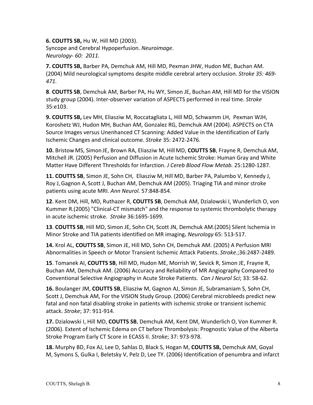**6. COUTTS SB, Hu W, Hill MD (2003).** Syncope and Cerebral Hypoperfusion. Neuroimage. *Neurology- 60: 2011.*

**7. COUTTS SB, Barber PA, Demchuk AM, Hill MD, Pexman JHW, Hudon ME, Buchan AM.** (2004) Mild neurological symptoms despite middle cerebral artery occlusion. *Stroke 35: 469-471.*

**8. COUTTS SB**, Demchuk AM, Barber PA, Hu WY, Simon JE, Buchan AM, Hill MD for the VISION study group (2004). Inter-observer variation of ASPECTS performed in real time. *Stroke* 35:e103.

**9. COUTTS SB,** Lev MH, Eliasziw M, Roccatagliata L, Hill MD, Schwamm LH, Pexman WJH, Koroshetz WJ, Hudon MH, Buchan AM, Gonzalez RG, Demchuk AM (2004). ASPECTS on CTA Source Images versus Unenhanced CT Scanning: Added Value in the Identification of Early Ischemic Changes and clinical outcome. *Stroke* 35: 2472-2476.

**10.** Bristow MS, Simon JE, Brown RA, Eliasziw M, Hill MD, **COUTTS SB**, Frayne R, Demchuk AM, Mitchell JR. (2005) Perfusion and Diffusion in Acute Ischemic Stroke: Human Gray and White Matter Have Different Thresholds for Infarction. *J Cereb Blood Flow Metab.* 25:1280-1287.

11. COUTTS SB, Simon JE, Sohn CH, Eliasziw M, Hill MD, Barber PA, Palumbo V, Kennedy J, Roy J, Gagnon A, Scott J, Buchan AM, Demchuk AM (2005). Triaging TIA and minor stroke patients using acute MRI. Ann Neurol. 57:848-854.

**12**. Kent DM, Hill, MD, Ruthazer R, **COUTTS SB**, Demchuk AM, Dzialowski I, Wunderlich O, von Kummer R.(2005) "Clinical-CT mismatch" and the response to systemic thrombolytic therapy in acute ischemic stroke. Stroke 36:1695-1699.

**13. COUTTS SB, Hill MD, Simon JE, Sohn CH, Scott JN, Demchuk AM.(2005) Silent Ischemia in** Minor Stroke and TIA patients identified on MR imaging. *Neurology* 65: 513-517.

14. Krol AL, COUTTS SB, Simon JE, Hill MD, Sohn CH, Demchuk AM. (2005) A Perfusion MRI Abnormalities in Speech or Motor Transient Ischemic Attack Patients. Stroke.;36:2487-2489.

**15**. Tomanek AI, **COUTTS SB**, Hill MD, Hudon ME, Morrish W, Sevick R, Simon JE, Frayne R, Buchan AM, Demchuk AM. (2006) Accuracy and Reliability of MR Angiography Compared to Conventional Selective Angiography in Acute Stroke Patients. Can J Neurol Sci; 33: 58-62.

**16.** Boulanger JM, **COUTTS SB**, Eliasziw M, Gagnon AJ, Simon JE, Subramaniam S, Sohn CH, Scott J, Demchuk AM, For the VISION Study Group. (2006) Cerebral microbleeds predict new fatal and non fatal disabling stroke in patients with ischemic stroke or transient ischemic attack. *Stroke*; 37: 911-914.

17. Dzialowski I, Hill MD, COUTTS SB, Demchuk AM, Kent DM, Wunderlich O, Von Kummer R. (2006). Extent of Ischemic Edema on CT before Thrombolysis: Prognostic Value of the Alberta Stroke Program Early CT Score in ECASS II. Stroke; 37: 973-978.

**18.** Murphy BD, Fox AJ, Lee D, Sahlas D, Black S, Hogan M, **COUTTS SB,** Demchuk AM, Goyal M, Symons S, Gulka I, Beletsky V, Pelz D, Lee TY. (2006) Identification of penumbra and infarct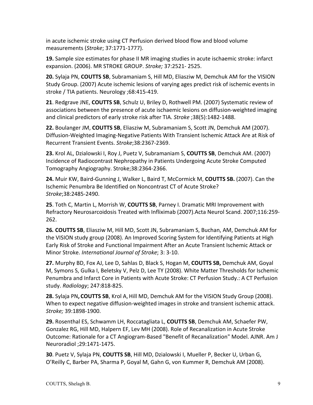in acute ischemic stroke using CT Perfusion derived blood flow and blood volume measurements (*Stroke*; 37:1771-1777).

**19.** Sample size estimates for phase II MR imaging studies in acute ischaemic stroke: infarct expansion. (2006). MR STROKE GROUP. *Stroke;* 37:2521- 2525.

**20.** Sylaja PN, COUTTS SB, Subramaniam S, Hill MD, Eliasziw M, Demchuk AM for the VISION Study Group. (2007) Acute ischemic lesions of varying ages predict risk of ischemic events in stroke / TIA patients. Neurology ;68:415-419.

**21**. Redgrave JNE, COUTTS SB, Schulz U, Briley D, Rothwell PM. (2007) Systematic review of associations between the presence of acute ischaemic lesions on diffusion-weighted imaging and clinical predictors of early stroke risk after TIA. Stroke ;38(5):1482-1488.

**22.** Boulanger JM, **COUTTS SB**, Eliasziw M, Subramaniam S, Scott JN, Demchuk AM (2007). Diffusion-Weighted Imaging-Negative Patients With Transient Ischemic Attack Are at Risk of Recurrent Transient Events. *Stroke*;38:2367-2369.

**23.** Krol AL, Dzialowski I, Roy J, Puetz V, Subramaniam S, **COUTTS SB**, Demchuk AM. (2007) Incidence of Radiocontrast Nephropathy in Patients Undergoing Acute Stroke Computed Tomography Angiography. Stroke;38:2364-2366.

**24.** Muir KW, Baird-Gunning J, Walker L, Baird T, McCormick M, COUTTS SB. (2007). Can the Ischemic Penumbra Be Identified on Noncontrast CT of Acute Stroke? *Stroke*;38:2485-2490.

**25**. Toth C, Martin L, Morrish W, **COUTTS SB**, Parney I. Dramatic MRI Improvement with Refractory Neurosarcoidosis Treated with Infliximab (2007).Acta Neurol Scand. 2007;116:259-262.

**26. COUTTS SB**, Eliasziw M, Hill MD, Scott JN, Subramaniam S, Buchan, AM, Demchuk AM for the VISION study group (2008). An Improved Scoring System for Identifying Patients at High Early Risk of Stroke and Functional Impairment After an Acute Transient Ischemic Attack or Minor Stroke. International Journal of Stroke; 3: 3-10.

**27.** Murphy BD, Fox AJ, Lee D, Sahlas D, Black S, Hogan M, **COUTTS SB,** Demchuk AM, Goyal M, Symons S, Gulka I, Beletsky V, Pelz D, Lee TY (2008). White Matter Thresholds for Ischemic Penumbra and Infarct Core in Patients with Acute Stroke: CT Perfusion Study.: A CT Perfusion study. *Radiology*; 247:818-825.

**28.** Sylaja PN, COUTTS SB, Krol A, Hill MD, Demchuk AM for the VISION Study Group (2008). When to expect negative diffusion-weighted images in stroke and transient ischemic attack. *Stroke;* 39:1898-1900.

**29.** Rosenthal ES, Schwamm LH, Roccatagliata L, COUTTS SB, Demchuk AM, Schaefer PW, Gonzalez RG, Hill MD, Halpern EF, Lev MH (2008). Role of Recanalization in Acute Stroke Outcome: Rationale for a CT Angiogram-Based "Benefit of Recanalization" Model. AJNR. Am J Neuroradiol ;29:1471-1475.

**30**. Puetz V, Sylaja PN, COUTTS SB, Hill MD, Dzialowski I, Mueller P, Becker U, Urban G, O'Reilly C, Barber PA, Sharma P, Goyal M, Gahn G, von Kummer R, Demchuk AM (2008).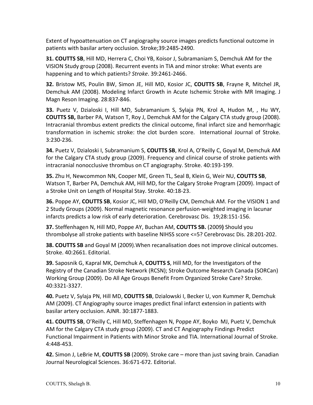Extent of hypoattenuation on CT angiography source images predicts functional outcome in patients with basilar artery occlusion. Stroke;39:2485-2490.

**31. COUTTS SB, Hill MD, Herrera C, Choi YB, Koisor J, Subramaniam S, Demchuk AM for the** VISION Study group (2008). Recurrent events in TIA and minor stroke: What events are happening and to which patients? Stroke. 39:2461-2466.

**32.** Bristow MS, Poulin BW, Simon JE, Hill MD, Kosior JC, COUTTS SB, Frayne R, Mitchel JR, Demchuk AM (2008). Modeling Infarct Growth in Acute Ischemic Stroke with MR Imaging. J Magn Reson Imaging. 28:837-846.

**33.** Puetz V, Dzialoski I, Hill MD, Subramanium S, Sylaja PN, Krol A, Hudon M, , Hu WY, **COUTTS SB,** Barber PA, Watson T, Roy J, Demchuk AM for the Calgary CTA study group (2008). Intracranial thrombus extent predicts the clinical outcome, final infarct size and hemorrhagic transformation in ischemic stroke: the clot burden score. International Journal of Stroke. 3:230-236.

**34.** Puetz V, Dzialoski I, Subramanium S, COUTTS SB, Krol A, O'Reilly C, Goyal M, Demchuk AM for the Calgary CTA study group (2009). Frequency and clinical course of stroke patients with intracranial nonocclusive thrombus on CT angiography. Stroke. 40:193-199.

**35.** Zhu H, Newcommon NN, Cooper ME, Green TL, Seal B, Klein G, Weir NU, COUTTS SB, Watson T, Barber PA, Demchuk AM, Hill MD, for the Calgary Stroke Program (2009). Impact of a Stroke Unit on Length of Hospital Stay. Stroke. 40:18-23.

**36.** Poppe AY, **COUTTS SB**, Kosior JC, Hill MD, O'Reilly CM, Demchuk AM. For the VISION 1 and 2 Study Groups (2009). Normal magnetic resonance perfusion-weighted imaging in lacunar infarcts predicts a low risk of early deterioration. Cerebrovasc Dis. 19;28:151-156.

**37.** Steffenhagen N, Hill MD, Poppe AY, Buchan AM, **COUTTS SB.** (2009) Should you thrombolyse all stroke patients with baseline NIHSS score <=5? Cerebrovasc Dis. 28:201-202.

**38. COUTTS SB** and Goyal M (2009). When recanalisation does not improve clinical outcomes. Stroke. 40:2661. Editorial.

**39.** Saposnik G, Kapral MK, Demchuk A, **COUTTS S**, Hill MD, for the Investigators of the Registry of the Canadian Stroke Network (RCSN); Stroke Outcome Research Canada (SORCan) Working Group (2009). Do All Age Groups Benefit From Organized Stroke Care? Stroke. 40:3321-3327.

**40.** Puetz V, Sylaja PN, Hill MD, COUTTS SB, Dzialowski I, Becker U, von Kummer R, Demchuk AM (2009). CT Angiography source images predict final infarct extension in patients with basilar artery occlusion. AJNR. 30:1877-1883.

**41. COUTTS SB,** O'Reilly C, Hill MD, Steffenhagen N, Poppe AY, Boyko MJ, Puetz V, Demchuk AM for the Calgary CTA study group (2009). CT and CT Angiography Findings Predict Functional Impairment in Patients with Minor Stroke and TIA. International Journal of Stroke. 4:448-453.

**42.** Simon J, LeBrie M, COUTTS SB (2009). Stroke care – more than just saving brain. Canadian Journal Neurological Sciences. 36:671-672. Editorial.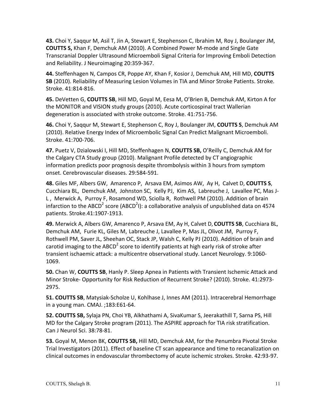**43.** Choi Y, Saqqur M, Asil T, Jin A, Stewart E, Stephenson C, Ibrahim M, Roy J, Boulanger JM, **COUTTS S, Khan F, Demchuk AM (2010).** A Combined Power M-mode and Single Gate Transcranial Doppler Ultrasound Microemboli Signal Criteria for Improving Emboli Detection and Reliability. J Neuroimaging 20:359-367.

**44.** Steffenhagen N, Campos CR, Poppe AY, Khan F, Kosior J, Demchuk AM, Hill MD, COUTTS SB (2010). Reliability of Measuring Lesion Volumes in TIA and Minor Stroke Patients. Stroke. Stroke. 41:814-816. 

**45.** DeVetten G, COUTTS SB, Hill MD, Goyal M, Eesa M, O'Brien B, Demchuk AM, Kirton A for the MONITOR and VISION study groups (2010). Acute corticospinal tract Wallerian degeneration is associated with stroke outcome. Stroke. 41:751-756.

**46.** Choi Y, Sagqur M, Stewart E, Stephenson C, Roy J, Boulanger JM, **COUTTS S**, Demchuk AM (2010). Relative Energy Index of Microembolic Signal Can Predict Malignant Microemboli. Stroke. 41:700-706. 

47. Puetz V, Dzialowski I, Hill MD, Steffenhagen N, COUTTS SB, O'Reilly C, Demchuk AM for the Calgary CTA Study group (2010). Malignant Profile detected by CT angiographic information predicts poor prognosis despite thrombolysis within 3 hours from symptom onset. Cerebrovascular diseases. 29:584-591.

**48.** Giles MF, Albers GW, Amarenco P, Arsava EM, Asimos AW, Ay H, Calvet D, COUTTS S, Cucchiara BL, Demchuk AM, Johnston SC, Kelly PJ, Kim AS, Labreuche J, Lavallee PC, Mas J-L, Merwick A, Purroy F, Rosamond WD, Sciolla R, Rothwell PM (2010). Addition of brain infarction to the ABCD<sup>2</sup> score (ABCD<sup>2</sup>I): a collaborative analysis of unpublished data on 4574 patients. Stroke.41:1907-1913.

**49.** Merwick A, Albers GW, Amarenco P, Arsava EM, Ay H, Calvet D, COUTTS SB, Cucchiara BL, Demchuk AM, Furie KL, Giles M, Labreuche J, Lavallee P, Mas JL, Olivot JM, Purroy F, Rothwell PM, Saver JL, Sheehan OC, Stack JP, Walsh C, Kelly PJ (2010). Addition of brain and carotid imaging to the ABCD<sup>2</sup> score to identify patients at high early risk of stroke after transient ischaemic attack: a multicentre observational study. Lancet Neurology. 9:1060-1069.

**50.** Chan W, COUTTS SB, Hanly P. Sleep Apnea in Patients with Transient Ischemic Attack and Minor Stroke- Opportunity for Risk Reduction of Recurrent Stroke? (2010). Stroke. 41:2973-2975. 

**51. COUTTS SB**, Matysiak-Scholze U, Kohlhase J, Innes AM (2011). Intracerebral Hemorrhage in a young man. CMAJ. ;183:E61-64.

**52. COUTTS SB,** Sylaja PN, Choi YB, Alkhathami A, SivaKumar S, Jeerakathill T, Sarna PS, Hill MD for the Calgary Stroke program (2011). The ASPIRE approach for TIA risk stratification. Can J Neurol Sci. 38:78-81.

**53.** Goyal M, Menon BK, COUTTS SB, Hill MD, Demchuk AM, for the Penumbra Pivotal Stroke Trial Investigators (2011). Effect of baseline CT scan appearance and time to recanalization on clinical outcomes in endovascular thrombectomy of acute ischemic strokes. Stroke. 42:93-97.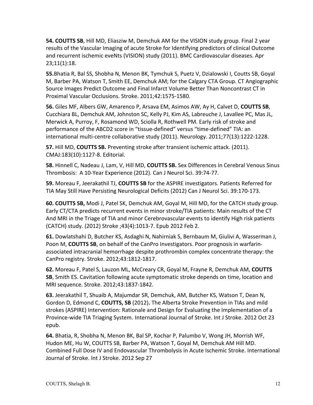**54. COUTTS SB, Hill MD, Eliasziw M, Demchuk AM for the VISION study group. Final 2 year** results of the Vascular Imaging of acute Stroke for Identifying predictors of clinical Outcome and recurrent ischemic eveNts (VISION) study (2011). BMC Cardiovascular diseases. Apr 23;11(1):18. 

**55.**Bhatia R, Bal SS, Shobha N, Menon BK, Tymchuk S, Puetz V, Dzialowski I, Coutts SB, Goyal M, Barber PA, Watson T, Smith EE, Demchuk AM; for the Calgary CTA Group. CT Angiographic Source Images Predict Outcome and Final Infarct Volume Better Than Noncontrast CT in Proximal Vascular Occlusions. Stroke. 2011;42:1575-1580.

**56.** Giles MF, Albers GW, Amarenco P, Arsava EM, Asimos AW, Ay H, Calvet D, COUTTS SB, Cucchiara BL, Demchuk AM, Johnston SC, Kelly PJ, Kim AS, Labreuche J, Lavallee PC, Mas JL, Merwick A, Purroy, F, Rosamond WD, Sciolla R, Rothwell PM. Early risk of stroke and performance of the ABCD2 score in "tissue-defined" versus "time-defined" TIA: an international multi-centre collaborative study (2011). Neurology. 2011;77(13):1222-1228.

**57.** Hill MD, **COUTTS SB.** Preventing stroke after transient ischemic attack. (2011). CMAJ:183(10):1127-8. Editorial.

**58.** Hinnell C, Nadeau J, Lam, V, Hill MD, COUTTS SB. Sex Differences in Cerebral Venous Sinus Thrombosis: A 10-Year Experience (2012). Can J Neurol Sci. 39:74-77.

**59.** Moreau F, Jeerakathil TJ, COUTTS SB for the ASPIRE investigators. Patients Referred for TIA May Still Have Persisting Neurological Deficits (2012) Can J Neurol Sci. 39:170-173.

**60. COUTTS SB,** Modi J, Patel SK, Demchuk AM, Goyal M, Hill MD, for the CATCH study group. Early CT/CTA predicts recurrent events in minor stroke/TIA patients: Main results of the CT And MRI in the Triage of TIA and minor Cerebrovascular events to identify High risk patients (CATCH) study. (2012) Stroke ;43(4):1013-7. Epub 2012 Feb 2.

**61.** Dowlatshahi D, Butcher KS, Asdaghi N, Nahirniak S, Bernbaum M, Giulivi A, Wasserman J, Poon M, **COUTTS SB**, on behalf of the CanPro Investigators. Poor prognosis in warfarinassociated intracranial hemorrhage despite prothrombin complex concentrate therapy: the CanPro registry. Stroke. 2012;43:1812-1817.

**62.** Moreau F, Patel S, Lauzon ML, McCreary CR, Goyal M, Frayne R, Demchuk AM, COUTTS **SB**, Smith ES. Cavitation following acute symptomatic stroke depends on time, location and MRI sequence. Stroke. 2012;43:1837-1842.

**63.** Jeerakathil T, Shuaib A, Majumdar SR, Demchuk, AM, Butcher KS, Watson T, Dean N, Gordon D, Edmond C, **COUTTS, SB** (2012). The Alberta Stroke Prevention in TIAs and mild strokes (ASPIRE) Intervention: Rationale and Design for Evaluating the Implementation of a Province-wide TIA Triaging System. International Journal of Stroke. Int J Stroke. 2012 Oct 23 epub.

**64.** Bhatia, R, Shobha N, Menon BK, Bal SP, Kochar P, Palumbo V, Wong JH, Morrish WF, Hudon ME, Hu W, COUTTS SB, Barber PA, Watson T, Goyal M, Demchuk AM Hill MD. Combined Full Dose IV and Endovascular Thrombolysis in Acute Ischemic Stroke. International Journal of Stroke. Int J Stroke. 2012 Sep 27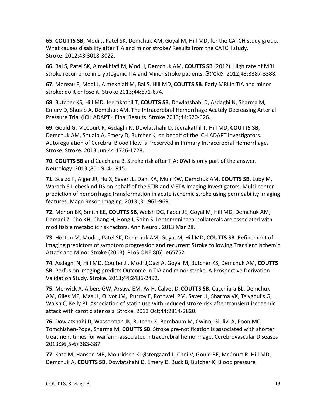**65. COUTTS SB,** Modi J, Patel SK, Demchuk AM, Goyal M, Hill MD, for the CATCH study group. What causes disability after TIA and minor stroke? Results from the CATCH study. Stroke. 2012;43:3018-3022.

**66.** Bal S, Patel SK, Almekhlafi M, Modi J, Demchuk AM, **COUTTS SB** (2012). High rate of MRI stroke recurrence in cryptogenic TIA and Minor stroke patients. Stroke. 2012;43:3387-3388.

67. Moreau F, Modi J, Almekhlafi M, Bal S, Hill MD, COUTTS SB. Early MRI in TIA and minor stroke: do it or lose it. Stroke 2013;44:671-674.

**68**. Butcher KS, Hill MD, Jeerakathil T, COUTTS SB, Dowlatshahi D, Asdaghi N, Sharma M, Emery D, Shuaib A, Demchuk AM. The Intracerebral Hemorrhage Acutely Decreasing Arterial Pressure Trial (ICH ADAPT): Final Results. Stroke 2013;44:620-626.

**69.** Gould G, McCourt R, Asdaghi N, Dowlatshahi D, Jeerakathil T, Hill MD, **COUTTS SB**, Demchuk AM, Shuaib A, Emery D, Butcher K, on behalf of the ICH ADAPT investigators. Autoregulation of Cerebral Blood Flow is Preserved in Primary Intracerebral Hemorrhage. Stroke. Stroke. 2013 Jun;44:1726-1728.

**70. COUTTS SB** and Cucchiara B. Stroke risk after TIA: DWI is only part of the answer. Neurology. 2013 ;80:1914-1915.

**71.** Scalzo F, Alger JR, Hu X, Saver JL, Dani KA, Muir KW, Demchuk AM, COUTTS SB, Luby M, Warach S Liebeskind DS on behalf of the STIR and VISTA Imaging Investigators. Multi-center prediction of hemorrhagic transformation in acute ischemic stroke using permeability imaging features. Magn Reson Imaging. 2013;31:961-969.

**72.** Menon BK, Smith EE, COUTTS SB, Welsh DG, Faber JE, Goyal M, Hill MD, Demchuk AM, Damani Z, Cho KH, Chang H, Hong J, Sohn S. Leptomeningeal collaterals are associated with modifiable metabolic risk factors. Ann Neurol. 2013 Mar 28.

**73.** Horton M, Modi J, Patel SK, Demchuk AM, Goyal M, Hill MD, **COUTTS SB**. Refinement of imaging predictors of symptom progression and recurrent Stroke following Transient Ischemic Attack and Minor Stroke (2013). PLoS ONE 8(6): e65752.

**74.** Asdaghi N, Hill MD, Coulter JI, Modi J, Qazi A, Goyal M, Butcher KS, Demchuk AM, COUTTS **SB**. Perfusion imaging predicts Outcome in TIA and minor stroke. A Prospective Derivation-Validation Study. Stroke. 2013;44:2486-2492.

**75.** Merwick A, Albers GW, Arsava EM, Ay H, Calvet D, COUTTS SB, Cucchiara BL, Demchuk AM, Giles MF, Mas JL, Olivot JM, Purroy F, Rothwell PM, Saver JL, Sharma VK, Tsivgoulis G, Walsh C, Kelly PJ. Association of statin use with reduced stroke risk after transient ischaemic attack with carotid stenosis. Stroke. 2013 Oct;44:2814-2820.

**76**. Dowlatshahi D, Wasserman JK, Butcher K, Bernbaum M, Cwinn, Giulivi A, Poon MC, Tomchishen-Pope, Sharma M, COUTTS SB. Stroke pre-notification is associated with shorter treatment times for warfarin-associated intracerebral hemorrhage. Cerebrovascular Diseases 2013;36(5-6):383-387. 

**77.** Kate M; Hansen MB, Mouridsen K; Østergaard L, Choi V, Gould BE, McCourt R, Hill MD, Demchuk A, COUTTS SB, Dowlatshahi D, Emery D, Buck B, Butcher K. Blood pressure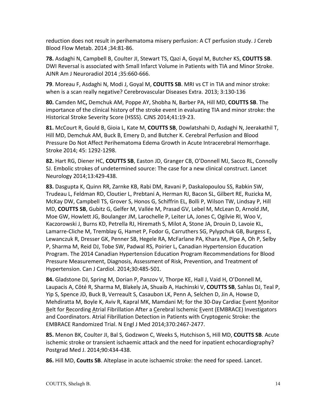reduction does not result in perihematoma misery perfusion: A CT perfusion study. J Cereb Blood Flow Metab. 2014 ;34:81-86.

**78.** Asdaghi N, Campbell B, Coulter JI, Stewart TS, Qazi A, Goyal M, Butcher KS, COUTTS SB. DWI Reversal is associated with Small Infarct Volume in Patients with TIA and Minor Stroke. AJNR Am J Neuroradiol 2014 ;35:660-666.

**79**. Moreau F, Asdaghi N, Modi J, Goyal M, COUTTS SB. MRI vs CT in TIA and minor stroke: when is a scan really negative? Cerebrovascular Diseases Extra. 2013; 3:130-136

**80.** Camden MC, Demchuk AM, Poppe AY, Shobha N, Barber PA, Hill MD, COUTTS SB. The importance of the clinical history of the stroke event in evaluating TIA and minor stroke: the Historical Stroke Severity Score (HSSS). CJNS 2014;41:19-23.

**81.** McCourt R, Gould B, Gioia L, Kate M, **COUTTS SB**, Dowlatshahi D, Asdaghi N, Jeerakathil T, Hill MD, Demchuk AM, Buck B, Emery D, and Butcher K. Cerebral Perfusion and Blood Pressure Do Not Affect Perihematoma Edema Growth in Acute Intracerebral Hemorrhage. Stroke 2014; 45: 1292-1298.

82. Hart RG, Diener HC, COUTTS SB, Easton JD, Granger CB, O'Donnell MJ, Sacco RL, Connolly SJ. Embolic strokes of undetermined source: The case for a new clinical construct. Lancet Neurology 2014;13:429-438.

**83.** Dasgupta K, Quinn RR, Zarnke KB, Rabi DM, Ravani P, Daskalopoulou SS, Rabkin SW, Trudeau L, Feldman RD, Cloutier L, Prebtani A, Herman RJ, Bacon SL, Gilbert RE, Ruzicka M, McKay DW, Campbell TS, Grover S, Honos G, Schiffrin EL, Bolli P, Wilson TW, Lindsay P, Hill MD, COUTTS SB, Gubitz G, Gelfer M, Vallée M, Prasad GV, Lebel M, McLean D, Arnold JM, Moe GW, Howlett JG, Boulanger JM, Larochelle P, Leiter LA, Jones C, Ogilvie RI, Woo V, Kaczorowski J, Burns KD, Petrella RJ, Hiremath S, Milot A, Stone JA, Drouin D, Lavoie KL, Lamarre-Cliche M, Tremblay G, Hamet P, Fodor G, Carruthers SG, Pylypchuk GB, Burgess E, Lewanczuk R, Dresser GK, Penner SB, Hegele RA, McFarlane PA, Khara M, Pipe A, Oh P, Selby P, Sharma M, Reid DJ, Tobe SW, Padwal RS, Poirier L, Canadian Hypertension Education Program. The 2014 Canadian Hypertension Education Program Recommendations for Blood Pressure Measurement, Diagnosis, Assessment of Risk, Prevention, and Treatment of Hypertension. Can J Cardiol. 2014;30:485-501.

**84.** Gladstone DJ, Spring M, Dorian P, Panzov V, Thorpe KE, Hall J, Vaid H, O'Donnell M, Laupacis A, Côté R, Sharma M, Blakely JA, Shuaib A, Hachinski V, COUTTS SB, Sahlas DJ, Teal P, Yip S, Spence JD, Buck B, Verreault S, Casaubon LK, Penn A, Selchen D, Jin A, Howse D, Mehdiratta M, Boyle K, Aviv R, Kapral MK, Mamdani M; for the 30-Day Cardiac Event Monitor Belt for Recording Atrial Fibrillation After a Cerebral Ischemic Event (EMBRACE) Investigators and Coordinators. Atrial Fibrillation Detection in Patients with Cryptogenic Stroke: the EMBRACE Randomized Trial. N Engl J Med 2014;370:2467-2477.

85. Menon BK, Coulter JI, Bal S, Godzwon C, Weeks S, Hutchison S, Hill MD, COUTTS SB. Acute ischemic stroke or transient ischaemic attack and the need for inpatient echocardiography? Postgrad Med J. 2014;90:434-438.

**86.** Hill MD, **Coutts SB**. Alteplase in acute ischaemic stroke: the need for speed. Lancet.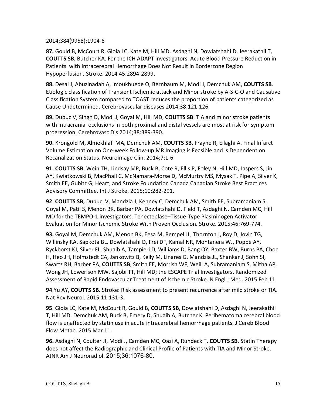2014;384(9958):1904-6

87. Gould B, McCourt R, Gioia LC, Kate M, Hill MD, Asdaghi N, Dowlatshahi D, Jeerakathil T, **COUTTS SB**, Butcher KA. For the ICH ADAPT investigators. Acute Blood Pressure Reduction in Patients with Intracerebral Hemorrhage Does Not Result in Borderzone Region Hypoperfusion. Stroke. 2014 45:2894-2899.

88. Desai J, Abuzinadah A, Imoukhuede O, Bernbaum M, Modi J, Demchuk AM, COUTTS SB. Etiologic classification of Transient Ischemic attack and Minor stroke by A-S-C-O and Causative Classification System compared to TOAST reduces the proportion of patients categorized as Cause Undetermined. Cerebrovascular diseases 2014;38:121-126.

**89.** Dubuc V, Singh D, Modi J, Goyal M, Hill MD, **COUTTS SB**. TIA and minor stroke patients with intracranial occlusions in both proximal and distal vessels are most at risk for symptom progression. Cerebrovasc Dis 2014;38:389-390.

**90.** Krongold M, Almekhlafi MA, Demchuk AM, **COUTTS SB**, Frayne R, Eilaghi A. Final Infarct Volume Estimation on One-week Follow-up MR Imaging is Feasible and is Dependent on Recanalization Status. Neuroimage Clin. 2014;7:1-6.

**91. COUTTS SB**, Wein TH, Lindsay MP, Buck B, Cote R, Ellis P, Foley N, Hill MD, Jaspers S, Jin AY, Kwiatkowski B, MacPhail C, McNamara-Morse D, McMurtry MS, Mysak T, Pipe A, Silver K, Smith EE, Gubitz G; Heart, and Stroke Foundation Canada Canadian Stroke Best Practices Advisory Committee. Int J Stroke. 2015;10:282-291.

**92. COUTTS SB,** Dubuc V, Mandzia J, Kenney C, Demchuk AM, Smith EE, Subramaniam S, Goyal M, Patil S, Menon BK, Barber PA, Dowlatshahi D, Field T, Asdaghi N, Camden MC, Hill MD for the TEMPO-1 investigators. Tenecteplase–Tissue-Type Plasminogen Activator Evaluation for Minor Ischemic Stroke With Proven Occlusion. Stroke. 2015;46:769-774.

**93.** Goyal M, Demchuk AM, Menon BK, Eesa M, Rempel JL, Thornton J, Roy D, Jovin TG, Willinsky RA, Sapkota BL, Dowlatshahi D, Frei DF, Kamal NR, Montanera WJ, Poppe AY, Ryckborst KJ, Silver FL, Shuaib A, Tampieri D, Williams D, Bang OY, Baxter BW, Burns PA, Choe H, Heo JH, Holmstedt CA, Jankowitz B, Kelly M, Linares G, Mandzia JL, Shankar J, Sohn SI, Swartz RH, Barber PA, COUTTS SB, Smith EE, Morrish WF, Weill A, Subramaniam S, Mitha AP, Wong JH, Lowerison MW, Sajobi TT, Hill MD; the ESCAPE Trial Investigators. Randomized Assessment of Rapid Endovascular Treatment of Ischemic Stroke. N Engl J Med. 2015 Feb 11.

**94**.Yu AY, **COUTTS SB.** Stroke: Risk assessment to present recurrence after mild stroke or TIA. Nat Rev Neurol. 2015;11:131-3.

**95**. Gioia LC, Kate M, McCourt R, Gould B, COUTTS SB, Dowlatshahi D, Asdaghi N, Jeerakathil T, Hill MD, Demchuk AM, Buck B, Emery D, Shuaib A, Butcher K. Perihematoma cerebral blood flow is unaffected by statin use in acute intracerebral hemorrhage patients. J Cereb Blood Flow Metab. 2015 Mar 11.

**96.** Asdaghi N, Coulter JI, Modi J, Camden MC, Qazi A, Rundeck T, COUTTS SB. Statin Therapy does not affect the Radiographic and Clinical Profile of Patients with TIA and Minor Stroke. AJNR Am J Neuroradiol. 2015;36:1076-80.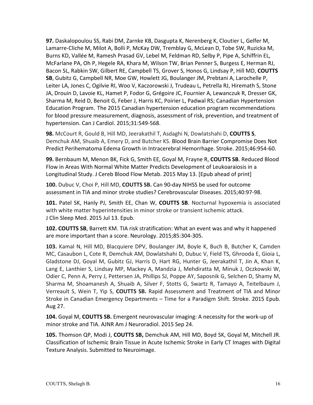**97.** Daskalopoulou SS, Rabi DM, Zarnke KB, Dasgupta K, Nerenberg K, Cloutier L, Gelfer M, Lamarre-Cliche M, Milot A, Bolli P, McKay DW, Tremblay G, McLean D, Tobe SW, Ruzicka M, Burns KD, Vallée M, Ramesh Prasad GV, Lebel M, Feldman RD, Selby P, Pipe A, Schiffrin EL, McFarlane PA, Oh P, Hegele RA, Khara M, Wilson TW, Brian Penner S, Burgess E, Herman RJ, Bacon SL, Rabkin SW, Gilbert RE, Campbell TS, Grover S, Honos G, Lindsay P, Hill MD, COUTTS **SB**, Gubitz G, Campbell NR, Moe GW, Howlett JG, Boulanger JM, Prebtani A, Larochelle P, Leiter LA, Jones C, Ogilvie RI, Woo V, Kaczorowski J, Trudeau L, Petrella RJ, Hiremath S, Stone JA, Drouin D, Lavoie KL, Hamet P, Fodor G, Grégoire JC, Fournier A, Lewanczuk R, Dresser GK, Sharma M, Reid D, Benoit G, Feber J, Harris KC, Poirier L, Padwal RS; Canadian Hypertension Education Program. The 2015 Canadian hypertension education program recommendations for blood pressure measurement, diagnosis, assessment of risk, prevention, and treatment of hypertension. Can J Cardiol. 2015;31:549-568.

**98.** McCourt R, Gould B, Hill MD, Jeerakathil T, Asdaghi N, Dowlatshahi D, COUTTS S, Demchuk AM, Shuaib A, Emery D, and Butcher KS. Blood Brain Barrier Compromise Does Not Predict Perihematoma Edema Growth in Intracerebral Hemorrhage. Stroke. 2015;46:954-60.

**99.** Bernbaum M, Menon BK, Fick G, Smith EE, Goyal M, Frayne R, COUTTS SB. Reduced Blood Flow in Areas With Normal White Matter Predicts Development of Leukoaraiosis in a Longitudinal Study. J Cereb Blood Flow Metab. 2015 May 13. [Epub ahead of print]

**100.** Dubuc V, Choi P, Hill MD, **COUTTS SB.** Can 90-day NIHSS be used for outcome assessment in TIA and minor stroke studies? Cerebrovascular Diseases. 2015;40:97-98.

**101.** Patel SK, Hanly PJ, Smith EE, Chan W, COUTTS SB. Nocturnal hypoxemia is associated with white matter hyperintensities in minor stroke or transient ischemic attack. J Clin Sleep Med. 2015 Jul 13. Epub.

**102. COUTTS SB,** Barrett KM. TIA risk stratification: What an event was and why it happened are more important than a score. Neurology. 2015;85:304-305.

**103.** Kamal N, Hill MD, Blacquiere DPV, Boulanger JM, Boyle K, Buch B, Butcher K, Camden MC, Casaubon L, Cote R, Demchuk AM, Dowlatshahi D, Dubuc V, Field TS, Ghrooda E, Gioia L, Gladstone DJ, Goyal M, Gubitz GJ, Harris D, Hart RG, Hunter G, Jeerakathil T, Jin A, Khan K, Lang E, Lanthier S, Lindsay MP, Mackey A, Mandzia J, Mehdiratta M, Minuk J, Oczkowski W, Odier C, Penn A, Perry J, Pettersen JA, Phillips SJ, Poppe AY, Saposnik G, Selchen D, Shamy M, Sharma M, Shoamanesh A, Shuaib A, Silver F, Stotts G, Swartz R, Tamayo A, Teitelbaum J, Verreault S, Wein T, Yip S, COUTTS SB. Rapid Assessment and Treatment of TIA and Minor Stroke in Canadian Emergency Departments - Time for a Paradigm Shift. Stroke. 2015 Epub. Aug 27.

**104.** Goyal M, **COUTTS SB.** Emergent neurovascular imaging: A necessity for the work-up of minor stroke and TIA. AJNR Am J Neuroradiol. 2015 Sep 24.

105. Thomson QP, Modi J, COUTTS SB, Demchuk AM, Hill MD, Boyd SK, Goyal M, Mitchell JR. Classification of Ischemic Brain Tissue in Acute Ischemic Stroke in Early CT Images with Digital Texture Analysis. Submitted to Neuroimage.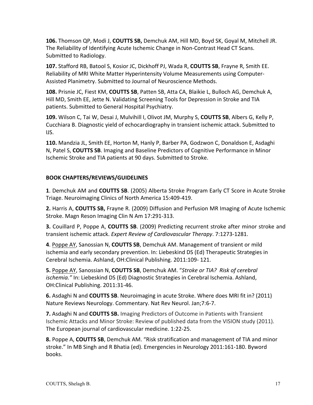**106.** Thomson QP, Modi J, COUTTS SB, Demchuk AM, Hill MD, Boyd SK, Goyal M, Mitchell JR. The Reliability of Identifying Acute Ischemic Change in Non-Contrast Head CT Scans. Submitted to Radiology.

**107.** Stafford RB, Batool S, Kosior JC, Dickhoff PJ, Wada R, COUTTS SB, Frayne R, Smith EE. Reliability of MRI White Matter Hyperintensity Volume Measurements using Computer-Assisted Planimetry. Submitted to Journal of Neuroscience Methods.

**108.** Prisnie JC, Fiest KM, COUTTS SB, Patten SB, Atta CA, Blaikie L, Bulloch AG, Demchuk A, Hill MD, Smith EE, Jette N. Validating Screening Tools for Depression in Stroke and TIA patients. Submitted to General Hospital Psychiatry.

**109.** Wilson C, Tai W, Desai J, Mulvihill I, Olivot JM, Murphy S, **COUTTS SB**, Albers G, Kelly P, Cucchiara B. Diagnostic yield of echocardiography in transient ischemic attack. Submitted to IJS.

**110.** Mandzia JL, Smith EE, Horton M, Hanly P, Barber PA, Godzwon C, Donaldson E, Asdaghi N, Patel S, COUTTS SB. Imaging and Baseline Predictors of Cognitive Performance in Minor Ischemic Stroke and TIA patients at 90 days. Submitted to Stroke.

# **BOOK CHAPTERS/REVIEWS/GUIDELINES**

**1.** Demchuk AM and **COUTTS SB.** (2005) Alberta Stroke Program Early CT Score in Acute Stroke Triage. Neuroimaging Clinics of North America 15:409-419.

**2.** Harris A, COUTTS SB, Frayne R. (2009) Diffusion and Perfusion MR Imaging of Acute Ischemic Stroke. Magn Reson Imaging Clin N Am 17:291-313.

**3.** Couillard P, Poppe A, COUTTS SB. (2009) Predicting recurrent stroke after minor stroke and transient ischemic attack. *Expert Review of Cardiovascular Therapy*. 7:1273-1281.

4. Poppe AY, Sanossian N, COUTTS SB, Demchuk AM. Management of transient or mild ischemia and early secondary prevention. In: Liebeskind DS (Ed) Therapeutic Strategies in Cerebral Ischemia. Ashland, OH:Clinical Publishing. 2011:109-121.

**5.** Poppe AY, Sanossian N, COUTTS SB, Demchuk AM. "Stroke or TIA? Risk of cerebral *ischemia."* In: Liebeskind DS (Ed) Diagnostic Strategies in Cerebral Ischemia. Ashland, OH:Clinical Publishing. 2011:31-46.

**6.** Asdaghi N and **COUTTS SB**. Neuroimaging in acute Stroke. Where does MRI fit in? (2011) Nature Reviews Neurology. Commentary. Nat Rev Neurol. Jan;7:6-7.

**7.** Asdaghi N and **COUTTS SB.** Imaging Predictors of Outcome in Patients with Transient Ischemic Attacks and Minor Stroke: Review of published data from the VISION study (2011). The European journal of cardiovascular medicine. 1:22-25.

**8.** Poppe A, COUTTS SB, Demchuk AM. "Risk stratification and management of TIA and minor stroke." In MB Singh and R Bhatia (ed). Emergencies in Neurology 2011:161-180. Byword books.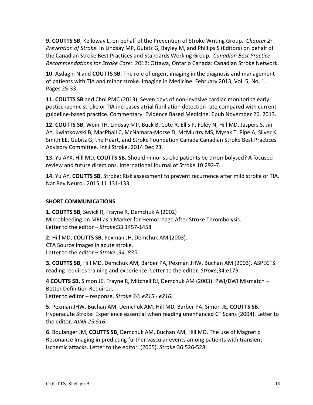**9. COUTTS SB**, Kelloway L, on behalf of the Prevention of Stroke Writing Group. *Chapter 2: Prevention of Stroke.* In Lindsay MP, Gubitz G, Bayley M, and Phillips S (Editors) on behalf of the Canadian Stroke Best Practices and Standards Working Group. Canadian Best Practice *Recommendations for Stroke Care:* 2012; Ottawa, Ontario Canada: Canadian Stroke Network.

**10.** Asdaghi N and **COUTTS SB**. The role of urgent imaging in the diagnosis and management of patients with TIA and minor stroke. Imaging in Medicine. February 2013, Vol. 5, No. 1, Pages 25-33.

**11. COUTTS SB** and Choi PMC (2013). Seven days of non-invasive cardiac monitoring early postischaemic stroke or TIA increases atrial fibrillation detection rate compared with current guideline-based practice. Commentary. Evidence Based Medicine. Epub November 26, 2013.

**12. COUTTS SB**, Wein TH, Lindsay MP, Buck B, Cote R, Ellis P, Foley N, Hill MD, Jaspers S, Jin AY, Kwiatkowski B, MacPhail C, McNamara-Morse D, McMurtry MS, Mysak T, Pipe A, Silver K, Smith EE, Gubitz G; the Heart, and Stroke Foundation Canada Canadian Stroke Best Practices Advisory Committee. Int J Stroke. 2014 Dec 23.

**13.** Yu AYX, Hill MD, **COUTTS SB.** Should minor stroke patients be thrombolysed? A focused review and future directions. International Journal of Stroke 10:292-7.

**14.** Yu AY, **COUTTS SB.** Stroke: Risk assessment to prevent recurrence after mild stroke or TIA. Nat Rev Neurol. 2015;11:131-133.

#### **SHORT COMMUNICATIONS**

**1. COUTTS SB, Sevick R, Frayne R, Demchuk A (2002)** Microbleeding on MRI as a Marker for Hemorrhage After Stroke Thrombolysis. Letter to the editor - *Stroke*;33 1457-1458

**2.** Hill MD, **COUTTS SB**, Pexman JH, Demchuk AM (2003). CTA Source Images in acute stroke. Letter to the editor - Stroke ;34: 835

**3. COUTTS SB, Hill MD, Demchuk AM, Barber PA, Pexman JHW, Buchan AM (2003). ASPECTS** reading requires training and experience. Letter to the editor. *Stroke*;34:e179.

4 **COUTTS SB,** Simon JE, Frayne R, Mitchell RJ, Demchuk AM (2003). PWI/DWI Mismatch -Better Definition Required.

Letter to editor - response. Stroke 34: e215 - e216.

**5.** Pexman JHW, Buchan AM, Demchuk AM, Hill MD, Barber PA, Simon JE, COUTTS SB. Hyperacute Stroke. Experience essential when reading unenhanced CT Scans (2004). Letter to the editor. *AJNR 25:516.* 

**6.** Boulanger JM, **COUTTS SB**, Demchuk AM, Buchan AM, Hill MD. The use of Magnetic Resonance Imaging in predicting further vascular events among patients with transient ischemic attacks. Letter to the editor. (2005). Stroke;36:526-528;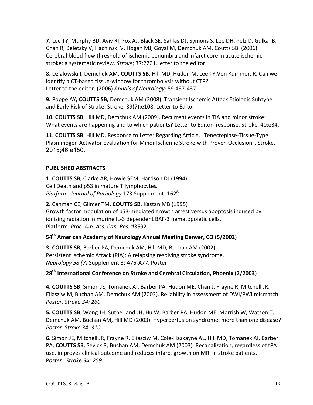**7.** Lee TY, Murphy BD, Aviv RI, Fox AJ, Black SE, Sahlas DJ, Symons S, Lee DH, Pelz D, Gulka IB, Chan R, Beletsky V, Hachinski V, Hogan MJ, Goyal M, Demchuk AM, Coutts SB. (2006). Cerebral blood flow threshold of ischemic penumbra and infarct core in acute ischemic stroke: a systematic review. Stroke; 37:2201. Letter to the editor.

**8.** Dzialowski I, Demchuk AM, COUTTS SB, Hill MD, Hudon M, Lee TY, Von Kummer, R. Can we identify a CT-based tissue-window for thrombolysis without CTP? Letter to the editor. (2006) Annals of Neurology; 59:437-437.

**9.** Poppe AY, COUTTS SB, Demchuk AM (2008). Transient Ischemic Attack Etiologic Subtype and Early Risk of Stroke. Stroke; 39(7):e108. Letter to Editor

**10. COUTTS SB, Hill MD, Demchuk AM (2009). Recurrent events in TIA and minor stroke:** What events are happening and to which patients? Letter to Editor- response. Stroke. 40:e34.

**11. COUTTS SB, Hill MD. Response to Letter Regarding Article, "Tenecteplase-Tissue-Type** Plasminogen Activator Evaluation for Minor Ischemic Stroke with Proven Occlusion". Stroke. 2015;46:e150.

# **PUBLISHED ABSTRACTS**

**1. COUTTS SB, Clarke AR, Howie SEM, Harrison DJ (1994)** Cell Death and p53 in mature T lymphocytes. *Platform. Journal of Pathology* 173 Supplement: 162<sup>A</sup>

**2.** Canman CE, Gilmer TM, COUTTS SB, Kastan MB (1995) Growth factor modulation of p53-mediated growth arrest versus apoptosis induced by ionizing radiation in murine IL-3 dependent BAF-3 hematopoietic cells. Platform. *Proc. Am. Ass. Can. Res.* #3592.

#### **54th American Academy of Neurology Annual Meeting Denver, CO (5/2002)**

**3. COUTTS SB, Barber PA, Demchuk AM, Hill MD, Buchan AM (2002)** Persistent Ischemic Attack (PIA): A relapsing resolving stroke syndrome. *Neurology* 58 (7) Supplement 3: A76-A77. Poster

# 28<sup>th</sup> International Conference on Stroke and Cerebral Circulation, Phoenix (2/2003)

4. COUTTS SB, Simon JE, Tomanek AI, Barber PA, Hudon ME, Chan J, Frayne R, Mitchell JR, Eliasziw M, Buchan AM, Demchuk AM (2003). Reliability in assessment of DWI/PWI mismatch. *Poster. Stroke 34: 260.*

**5. COUTTS SB**, Wong JH, Sutherland JH, Hu W, Barber PA, Hudon ME, Morrish W, Watson T, Demchuk AM, Buchan AM, Hill MD (2003). Hyperperfusion syndrome: more than one disease? *Poster. Stroke 34: 310.*

**6.** Simon JE, Mitchell JR, Frayne R, Eliasziw M, Cole-Haskayne AL, Hill MD, Tomanek AI, Barber PA, COUTTS SB, Sevick R, Buchan AM, Demchuk AM (2003). Recanalization, regardless of tPA use, improves clinical outcome and reduces infarct growth on MRI in stroke patients. Poster. Stroke 34: 259.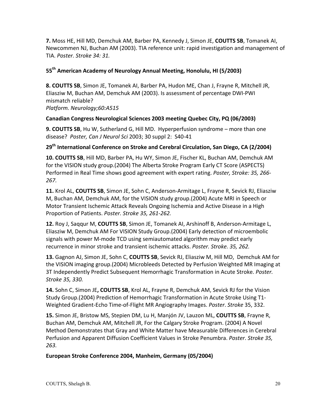**7.** Moss HE, Hill MD, Demchuk AM, Barber PA, Kennedy J, Simon JE, COUTTS SB, Tomanek AI, Newcommen NJ, Buchan AM (2003). TIA reference unit: rapid investigation and management of TIA. *Poster. Stroke 34: 31.*

# **55th American Academy of Neurology Annual Meeting, Honolulu, HI (5/2003)**

**8. COUTTS SB**, Simon JE, Tomanek AI, Barber PA, Hudon ME, Chan J, Frayne R, Mitchell JR, Eliasziw M, Buchan AM, Demchuk AM (2003). Is assessment of percentage DWI-PWI mismatch reliable? *Platform. Neurology;60:A515*

#### **Canadian Congress Neurological Sciences 2003 meeting Quebec City, PQ (06/2003)**

**9. COUTTS SB, Hu W, Sutherland G, Hill MD. Hyperperfusion syndrome – more than one** disease? Poster, Can J Neurol Sci 2003; 30 suppl 2: S40-41

# 29<sup>th</sup> International Conference on Stroke and Cerebral Circulation, San Diego, CA (2/2004)

10. **COUTTS SB**, Hill MD, Barber PA, Hu WY, Simon JE, Fischer KL, Buchan AM, Demchuk AM for the VISION study group.(2004) The Alberta Stroke Program Early CT Score (ASPECTS) Performed in Real Time shows good agreement with expert rating. *Poster, Stroke: 35, 266-267.*

11. Krol AL, COUTTS SB, Simon JE, Sohn C, Anderson-Armitage L, Frayne R, Sevick RJ, Eliasziw M, Buchan AM, Demchuk AM, for the VISION study group.(2004) Acute MRI in Speech or Motor Transient Ischemic Attack Reveals Ongoing Ischemia and Active Disease in a High Proportion of Patients. *Poster. Stroke 35, 261-262.*

**12.** Roy J, Saggur M, COUTTS SB, Simon JE, Tomanek AI, Arshinoff B, Anderson-Armitage L, Eliasziw M, Demchuk AM For VISION Study Group.(2004) Early detection of microembolic signals with power M-mode TCD using semiautomated algorithm may predict early recurrence in minor stroke and transient ischemic attacks. *Poster. Stroke. 35, 262.* 

**13.** Gagnon AJ, Simon JE, Sohn C, COUTTS SB, Sevick RJ, Eliasziw M, Hill MD, Demchuk AM for the VISION imaging group.(2004) Microbleeds Detected by Perfusion Weighted MR Imaging at 3T Independently Predict Subsequent Hemorrhagic Transformation in Acute Stroke. *Poster. Stroke 35, 330.*

**14.** Sohn C, Simon JE, COUTTS SB, Krol AL, Frayne R, Demchuk AM, Sevick RJ for the Vision Study Group.(2004) Prediction of Hemorrhagic Transformation in Acute Stroke Using T1-Weighted Gradient-Echo Time-of-Flight MR Angiography Images. *Poster*. *Stroke* 35, 332.

15. Simon JE, Bristow MS, Stepien DM, Lu H, Manjón JV, Lauzon ML, COUTTS SB, Frayne R, Buchan AM, Demchuk AM, Mitchell JR, For the Calgary Stroke Program. (2004) A Novel Method Demonstrates that Gray and White Matter have Measurable Differences in Cerebral Perfusion and Apparent Diffusion Coefficient Values in Stroke Penumbra. *Poster. Stroke 35, 263.*

#### European Stroke Conference 2004, Manheim, Germany (05/2004)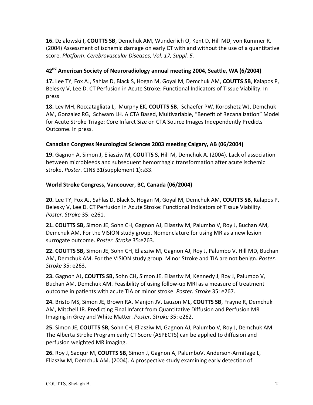**16.** Dzialowski I, **COUTTS SB**, Demchuk AM, Wunderlich O, Kent D, Hill MD, von Kummer R. (2004) Assessment of ischemic damage on early CT with and without the use of a quantitative score. Platform. Cerebrovascular Diseases, Vol. 17, Suppl. 5.

#### **42nd American Society of Neuroradiology annual meeting 2004, Seattle, WA (6/2004)**

17. Lee TY, Fox AJ, Sahlas D, Black S, Hogan M, Goyal M, Demchuk AM, COUTTS SB, Kalapos P, Belesky V, Lee D. CT Perfusion in Acute Stroke: Functional Indicators of Tissue Viability. In press

18. Lev MH, Roccatagliata L, Murphy EK, COUTTS SB, Schaefer PW, Koroshetz WJ, Demchuk AM, Gonzalez RG, Schwam LH. A CTA Based, Multivariable, "Benefit of Recanalization" Model for Acute Stroke Triage: Core Infarct Size on CTA Source Images Independently Predicts Outcome. In press.

# **Canadian Congress Neurological Sciences 2003 meeting Calgary, AB (06/2004)**

**19.** Gagnon A, Simon J, Eliasziw M, **COUTTS S**, Hill M, Demchuk A. (2004). Lack of association between microbleeds and subsequent hemorrhagic transformation after acute ischemic stroke. Poster. CJNS 31(supplement 1):s33.

# World Stroke Congress, Vancouver, BC, Canada (06/2004)

**20.** Lee TY, Fox AJ, Sahlas D, Black S, Hogan M, Goyal M, Demchuk AM, **COUTTS SB**, Kalapos P, Belesky V, Lee D. CT Perfusion in Acute Stroke: Functional Indicators of Tissue Viability. *Poster. Stroke* 35: e261.

**21. COUTTS SB,** Simon JE, Sohn CH, Gagnon AJ, Eliasziw M, Palumbo V, Roy J, Buchan AM, Demchuk AM. For the VISION study group. Nomenclature for using MR as a new lesion surrogate outcome. *Poster. Stroke* 35:e263.

**22. COUTTS SB,** Simon JE, Sohn CH, Eliasziw M, Gagnon AJ, Roy J, Palumbo V, Hill MD, Buchan AM, Demchuk AM. For the VISION study group. Minor Stroke and TIA are not benign. Poster. *Stroke* 35: e263. 

23. Gagnon AJ, COUTTS SB, Sohn CH, Simon JE, Eliasziw M, Kennedy J, Roy J, Palumbo V, Buchan AM, Demchuk AM. Feasibility of using follow-up MRI as a measure of treatment outcome in patients with acute TIA or minor stroke. Poster. Stroke 35: e267.

24. Bristo MS, Simon JE, Brown RA, Manjon JV, Lauzon ML, COUTTS SB, Frayne R, Demchuk AM, Mitchell JR. Predicting Final Infarct from Quantitative Diffusion and Perfusion MR Imaging in Grey and White Matter. Poster. Stroke 35: e262.

**25.** Simon JE, COUTTS SB, Sohn CH, Eliasziw M, Gagnon AJ, Palumbo V, Roy J, Demchuk AM. The Alberta Stroke Program early CT Score (ASPECTS) can be applied to diffusion and perfusion weighted MR imaging.

26. Roy J, Saqqur M, COUTTS SB, Simon J, Gagnon A, PalumboV, Anderson-Armitage L, Eliasziw M, Demchuk AM. (2004). A prospective study examining early detection of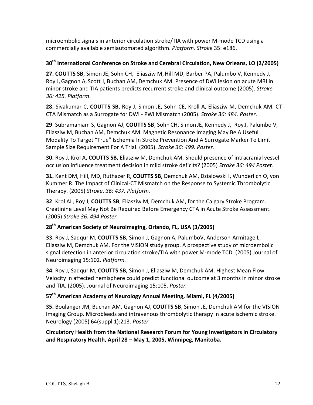microembolic signals in anterior circulation stroke/TIA with power M-mode TCD using a commercially available semiautomated algorithm. *Platform. Stroke* 35: e186.

# **30<sup>th</sup> International Conference on Stroke and Cerebral Circulation, New Orleans, LO (2/2005)**

**27. COUTTS SB**, Simon JE, Sohn CH, Eliasziw M, Hill MD, Barber PA, Palumbo V, Kennedy J, Roy J, Gagnon A, Scott J, Buchan AM, Demchuk AM. Presence of DWI lesion on acute MRI in minor stroke and TIA patients predicts recurrent stroke and clinical outcome (2005). *Stroke 36: 425. Platform*.

**28.** Sivakumar C, COUTTS SB, Roy J, Simon JE, Sohn CE, Kroll A, Eliasziw M, Demchuk AM. CT -CTA Mismatch as a Surrogate for DWI - PWI Mismatch (2005). Stroke 36: 484. Poster.

**29**. Subramaniam S, Gagnon AJ, **COUTTS SB**, Sohn CH, Simon JE, Kennedy J, Roy J, Palumbo V, Eliasziw M, Buchan AM, Demchuk AM. Magnetic Resonance Imaging May Be A Useful Modality To Target "True" Ischemia In Stroke Prevention And A Surrogate Marker To Limit Sample Size Requirement For A Trial. (2005). Stroke 36: 499. Poster.

**30.** Roy J, Krol A, COUTTS SB, Eliasziw M, Demchuk AM. Should presence of intracranial vessel occlusion influence treatment decision in mild stroke deficits? (2005) Stroke 36: 494 Poster.

**31.** Kent DM, Hill, MD, Ruthazer R, COUTTS SB, Demchuk AM, Dzialowski I, Wunderlich O, von Kummer R. The Impact of Clinical-CT Mismatch on the Response to Systemic Thrombolytic Therapy. (2005) *Stroke*. *36: 437. Platform.*

**32**. Krol AL, Roy J, **COUTTS SB**, Eliasziw M, Demchuk AM, for the Calgary Stroke Program. Creatinine Level May Not Be Required Before Emergency CTA in Acute Stroke Assessment. (2005) *Stroke 36: 494 Poster.*

# 28<sup>th</sup> American Society of Neuroimaging, Orlando, FL, USA (3/2005)

**33.** Roy J, Saqqur M, COUTTS SB, Simon J, Gagnon A, PalumboV, Anderson-Armitage L, Eliasziw M, Demchuk AM. For the VISION study group. A prospective study of microembolic signal detection in anterior circulation stroke/TIA with power M-mode TCD. (2005) Journal of Neuroimaging 15:102. *Platform.*

**34.** Roy J, Saqqur M, COUTTS SB, Simon J, Eliasziw M, Demchuk AM. Highest Mean Flow Velocity in affected hemisphere could predict functional outcome at 3 months in minor stroke and TIA. (2005). Journal of Neuroimaging 15:105. Poster.

# **57th American Academy of Neurology Annual Meeting, Miami, FL (4/2005)**

**35.** Boulanger JM, Buchan AM, Gagnon AJ, **COUTTS SB**, Simon JE, Demchuk AM for the VISION Imaging Group. Microbleeds and intravenous thrombolytic therapy in acute ischemic stroke. Neurology (2005) 64(suppl 1):213. *Poster.*

Circulatory Health from the National Research Forum for Young Investigators in Circulatory and Respiratory Health, April 28 - May 1, 2005, Winnipeg, Manitoba.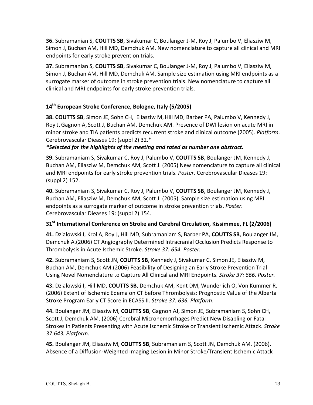**36.** Subramanian S, COUTTS SB, Sivakumar C, Boulanger J-M, Roy J, Palumbo V, Eliasziw M, Simon J, Buchan AM, Hill MD, Demchuk AM. New nomenclature to capture all clinical and MRI endpoints for early stroke prevention trials.

**37.** Subramanian S, COUTTS SB, Sivakumar C, Boulanger J-M, Roy J, Palumbo V, Eliasziw M, Simon J, Buchan AM, Hill MD, Demchuk AM. Sample size estimation using MRI endpoints as a surrogate marker of outcome in stroke prevention trials. New nomenclature to capture all clinical and MRI endpoints for early stroke prevention trials.

# **14th European Stroke Conference, Bologne, Italy (5/2005)**

**38. COUTTS SB**, Simon JE, Sohn CH, Eliasziw M, Hill MD, Barber PA, Palumbo V, Kennedy J, Roy J, Gagnon A, Scott J, Buchan AM, Demchuk AM. Presence of DWI lesion on acute MRI in minor stroke and TIA patients predicts recurrent stroke and clinical outcome (2005). *Platform*. Cerebrovascular Dieases 19: (suppl 2) 32.\*

#### *\*Selected for the highlights of the meeting and rated as number one abstract.*

**39.** Subramaniam S, Sivakumar C, Roy J, Palumbo V, COUTTS SB, Boulanger JM, Kennedy J, Buchan AM, Eliasziw M, Demchuk AM, Scott J. (2005) New nomenclature to capture all clinical and MRI endpoints for early stroke prevention trials. *Poster*. Cerebrovascular Dieases 19: (suppl 2) 152.

**40.** Subramaniam S, Sivakumar C, Roy J, Palumbo V, COUTTS SB, Boulanger JM, Kennedy J, Buchan AM, Eliasziw M, Demchuk AM, Scott J. (2005). Sample size estimation using MRI endpoints as a surrogate marker of outcome in stroke prevention trials. *Poster.* Cerebrovascular Dieases 19: (suppl 2) 154.

# **31<sup>st</sup> International Conference on Stroke and Cerebral Circulation, Kissimmee, FL (2/2006)**

**41.** Dzialowski I, Krol A, Roy J, Hill MD, Subramaniam S, Barber PA, **COUTTS SB**, Boulanger JM, Demchuk A.(2006) CT Angiography Determined Intracranial Occlusion Predicts Response to Thrombolysis in Acute Ischemic Stroke. Stroke 37: 654. Poster.

**42.** Subramaniam S, Scott JN, COUTTS SB, Kennedy J, Sivakumar C, Simon JE, Eliasziw M, Buchan AM, Demchuk AM.(2006) Feasibility of Designing an Early Stroke Prevention Trial Using Novel Nomenclature to Capture All Clinical and MRI Endpoints. Stroke 37: 666. Poster.

**43.** Dzialowski I, Hill MD, COUTTS SB, Demchuk AM, Kent DM, Wunderlich O, Von Kummer R. (2006) Extent of Ischemic Edema on CT before Thrombolysis: Prognostic Value of the Alberta Stroke Program Early CT Score in ECASS II. Stroke 37: 636. Platform.

**44.** Boulanger JM, Eliasziw M, COUTTS SB, Gagnon AJ, Simon JE, Subramaniam S, Sohn CH, Scott J, Demchuk AM. (2006) Cerebral Microhemorrhages Predict New Disabling or Fatal Strokes in Patients Presenting with Acute Ischemic Stroke or Transient Ischemic Attack. Stroke *37:643. Platform.*

**45.** Boulanger JM, Eliasziw M, COUTTS SB, Subramaniam S, Scott JN, Demchuk AM. (2006). Absence of a Diffusion-Weighted Imaging Lesion in Minor Stroke/Transient Ischemic Attack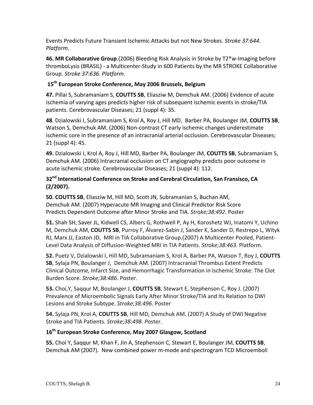Events Predicts Future Transient Ischemic Attacks but not New Strokes. *Stroke 37:644. Platform*.

46. MR Collaborative Group.(2006) Bleeding Risk Analysis in Stroke by T2<sup>\*</sup>w-Imaging before thromboLysis (BRASIL) - a Multicenter-Study in 600 Patients by the MR STROKE Collaborative Group. *Stroke 37:636. Platform*.

# 15<sup>th</sup> European Stroke Conference, May 2006 Brussels, Belgium

47. Pillai S, Subramaniam S, COUTTS SB, Eliasziw M, Demchuk AM. (2006) Evidence of acute ischemia of varying ages predicts higher risk of subsequent ischemic events in stroke/TIA patients. Cerebrovascular Diseases; 21 (suppl 4): 35.

**48**. Dzialowski I, Subramaniam S, Krol A, Roy J, Hill MD, Barber PA, Boulanger JM, COUTTS SB, Watson S, Demchuk AM. (2006) Non-contrast CT early ischemic changes underestimate ischemic core in the presence of an intracranial arterial occlusion. Cerebrovascular Diseases; 21 (suppl 4): 45.

**49.** Dzialowski I, Krol A, Roy J, Hill MD, Barber PA, Boulanger JM, **COUTTS SB**, Subramaniam S, Demchuk AM. (2006) Intracranial occlusion on CT angiography predicts poor outcome in acute ischemic stroke. Cerebrovascular Diseases; 21 (suppl 4): 112.

# 32<sup>nd</sup> International Conference on Stroke and Cerebral Circulation, San Fransisco, CA **(2/2007).**

**50. COUTTS SB, Eliasziw M, Hill MD, Scott JN, Subramanian S, Buchan AM,** Demchuk AM. (2007) Hyperacute MR Imaging and Clinical Predictor Risk Score Predicts Dependent Outcome after Minor Stroke and TIA. *Stroke;38:492*. Poster

**51.** Shah SH, Saver JL, Kidwell CS, Albers G, Rothwell P, Ay H, Koroshetz WJ, Inatomi Y, Uchino M, Demchuk AM, COUTTS SB, Purroy F, Álvarez-Sabín J, Sander K, Sander D, Restrepo L, Wityk RJ, Marx JJ, Easton JD, MRI in TIA Collaborative Group.(2007) A Multicenter Pooled, Patient-Level Data Analysis of Diffusion-Weighted MRI in TIA Patients. *Stroke;38:463.* Platform.

**52.** Puetz V, Dzialowski I, Hill MD, Subramaniam S, Krol A, Barber PA, Watson T, Roy J, COUTTS **SB**, Sylaja PN, Boulanger J, Demchuk AM. (2007) Intracranial Thrombus Extent Predicts Clinical Outcome, Infarct Size, and Hemorrhagic Transformation in Ischemic Stroke: The Clot Burden Score. Stroke;38:486. Poster.

**53.** Choi, Y, Saggur M, Boulanger J, **COUTTS SB**, Stewart E, Stephenson C, Roy J. (2007) Prevalence of Microembolic Signals Early After Minor Stroke/TIA and Its Relation to DWI Lesions and Stroke Subtype. Stroke;38:496. Poster

**54.** Sylaja PN, Krol A, COUTTS SB, Hill MD, Demchuk AM. (2007) A Study of DWI Negative Stroke and TIA Patients. Stroke: 38:498. Poster.

# **16th European Stroke Conference, May 2007 Glasgow, Scotland**

**55.** Choi Y, Saqqur M, Khan F, Jin A, Stephenson C, Stewart E, Boulanger JM, COUTTS SB, Demchuk AM (2007). New combined power m-mode and spectrogram TCD Microemboli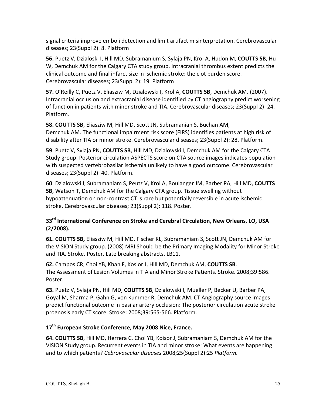signal criteria improve emboli detection and limit artifact misinterpretation. Cerebrovascular diseases; 23(Suppl 2): 8. Platform

**56.** Puetz V, Dzialoski I, Hill MD, Subramanium S, Sylaja PN, Krol A, Hudon M, COUTTS SB, Hu W, Demchuk AM for the Calgary CTA study group. Intracranial thrombus extent predicts the clinical outcome and final infarct size in ischemic stroke: the clot burden score. Cerebrovascular diseases; 23(Suppl 2): 19. Platform

**57.** O'Reilly C, Puetz V, Eliasziw M, Dzialowski I, Krol A, COUTTS SB, Demchuk AM. (2007). Intracranial occlusion and extracranial disease identified by CT angiography predict worsening of function in patients with minor stroke and TIA. Cerebrovascular diseases; 23(Suppl 2): 24. Platform.

**58. COUTTS SB, Eliasziw M, Hill MD, Scott JN, Subramanian S, Buchan AM,** Demchuk AM. The functional impairment risk score (FIRS) identifies patients at high risk of disability after TIA or minor stroke. Cerebrovascular diseases; 23(Suppl 2): 28. Platform.

**59**. Puetz V, Sylaja PN, COUTTS SB, Hill MD, Dzialowski I, Demchuk AM for the Calgary CTA Study group. Posterior circulation ASPECTS score on CTA source images indicates population with suspected vertebrobasilar ischemia unlikely to have a good outcome. Cerebrovascular diseases; 23(Suppl 2): 40. Platform.

**60**. Dzialowski I, Subramaniam S, Peutz V, Krol A, Boulanger JM, Barber PA, Hill MD, COUTTS **SB**, Watson T, Demchuk AM for the Calgary CTA group. Tissue swelling without hypoattenuation on non-contrast CT is rare but potentially reversible in acute ischemic stroke. Cerebrovascular diseases; 23(Suppl 2): 118. Poster.

# 33<sup>rd</sup> International Conference on Stroke and Cerebral Circulation, New Orleans, LO, USA **(2/2008).**

**61. COUTTS SB,** Eliasziw M, Hill MD, Fischer KL, Subramaniam S, Scott JN, Demchuk AM for the VISION Study group. (2008) MRI Should be the Primary Imaging Modality for Minor Stroke and TIA. Stroke. Poster. Late breaking abstracts. LB11.

**62.** Campos CR, Choi YB, Khan F, Kosior J, Hill MD, Demchuk AM, COUTTS SB. The Assessment of Lesion Volumes in TIA and Minor Stroke Patients. Stroke. 2008;39:586. Poster.

**63.** Puetz V, Sylaja PN, Hill MD, COUTTS SB, Dzialowski I, Mueller P, Becker U, Barber PA, Goyal M, Sharma P, Gahn G, von Kummer R, Demchuk AM. CT Angiography source images predict functional outcome in basilar artery occlusion: The posterior circulation acute stroke prognosis early CT score. Stroke; 2008;39:565-566. Platform.

# 17<sup>th</sup> European Stroke Conference, May 2008 Nice, France.

**64. COUTTS SB, Hill MD, Herrera C, Choi YB, Koisor J, Subramaniam S, Demchuk AM for the** VISION Study group. Recurrent events in TIA and minor stroke: What events are happening and to which patients? *Cebrovascular diseases* 2008;25(Suppl 2):25 *Platform.*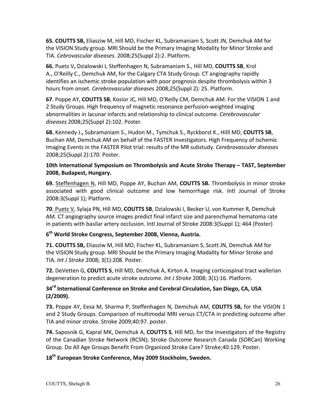**65. COUTTS SB,** Eliasziw M, Hill MD, Fischer KL, Subramaniam S, Scott JN, Demchuk AM for the VISION Study group. MRI Should be the Primary Imaging Modality for Minor Stroke and TIA. *Cebrovascular diseases.* 2008;25(Suppl 2):2. Platform.

**66.** Puetz V, Dzialowski I, Steffenhagen N, Subramaniam S., Hill MD, COUTTS SB, Krol A., O'Reilly C., Demchuk AM, for the Calgary CTA Study Group. CT angiography rapidly identifies an ischemic stroke population with poor prognosis despite thrombolysis within 3 hours from onset. *Cerebrovascular diseases* 2008;25(Suppl 2): 25. Platform.

**67**. Poppe AY, COUTTS SB, Kosior JC, Hill MD, O'Reilly CM, Demchuk AM. For the VISION 1 and 2 Study Groups. High frequency of magnetic resonance perfusion-weighted imaging abnormalities in lacunar infarcts and relationship to clinical outcome. *Cerebrovascular diseases* 2008;25(Suppl 2):102. Poster. 

**68.** Kennedy J., Subramaniam S., Hudon M., Tymchuk S., Ryckborst K., Hilll MD, COUTTS SB, Buchan AM, Demchuk AM on behalf of the FASTER Investigators. High Frequency of Ischemic Imaging Events in the FASTER Pilot trial: results of the MR substudy. *Cerebrovascular diseases* 2008;25(Suppl 2):170. Poster.

# 10th International Symposium on Thrombolysis and Acute Stroke Therapy - TAST, September 2008, Budapest, Hungary.

**69.** Steffenhagen N, Hill MD, Poppe AY, Buchan AM, **COUTTS SB.** Thrombolysis in minor stroke associated with good clinical outcome and low hemorrhage risk. Intl Journal of Stroke 2008:3(Suppl 1); Platform.

**70**. Puetz V, Sylaja PN, Hill MD, COUTTS SB, Dzialowski I, Becker U, von Kummer R, Demchuk AM. CT angiography source images predict final infarct size and parenchymal hematoma rate in patients with basilar artery occlusion. Intl Journal of Stroke 2008:3(Suppl 1); 464 (Poster)

#### **6th World Stroke Congress, September 2008, Vienna, Austria.**

**71. COUTTS SB,** Eliasziw M, Hill MD, Fischer KL, Subramaniam S, Scott JN, Demchuk AM for the VISION Study group. MRI Should be the Primary Imaging Modality for Minor Stroke and TIA. *Int J Stroke* 2008; 3(1):208. Poster.

**72.** DeVetten G, **COUTTS S**, Hill MD, Demchuk A, Kirton A. Imaging corticospinal tract wallerian degeneration to predict acute stroke outcome. Int J Stroke 2008; 3(1):16. Platform.

#### 34<sup>rd</sup> International Conference on Stroke and Cerebral Circulation, San Diego, CA, USA **(2/2009).**

**73.** Poppe AY, Eesa M, Sharma P, Steffenhagen N, Demchuk AM, COUTTS SB, for the VISION 1 and 2 Study Groups. Comparison of multimodal MRI versus CT/CTA in predicting outcome after TIA and minor stroke. Stroke 2009;40:97. poster.

**74.** Saposnik G, Kapral MK, Demchuk A, **COUTTS S**, Hill MD, for the Investigators of the Registry of the Canadian Stroke Network (RCSN); Stroke Outcome Research Canada (SORCan) Working Group. Do All Age Groups Benefit From Organized Stroke Care? Stroke: 40:129. Poster.

# **18th European Stroke Conference, May 2009 Stockholm, Sweden.**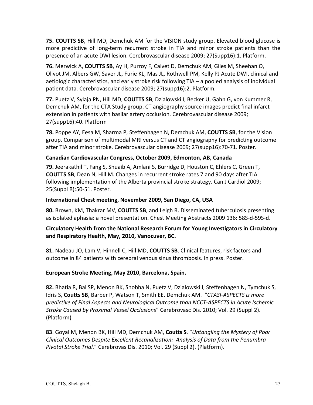**75. COUTTS SB, Hill MD, Demchuk AM for the VISION study group. Elevated blood glucose is** more predictive of long-term recurrent stroke in TIA and minor stroke patients than the presence of an acute DWI lesion. Cerebrovascular disease 2009; 27(Supp16):1. Platform.

**76.** Merwick A, **COUTTS SB**, Ay H, Purroy F, Calvet D, Demchuk AM, Giles M, Sheehan O, Olivot JM, Albers GW, Saver JL, Furie KL, Mas JL, Rothwell PM, Kelly PJ Acute DWI, clinical and aetiologic characteristics, and early stroke risk following TIA - a pooled analysis of individual patient data. Cerebrovascular disease 2009; 27(supp16):2. Platform.

**77.** Puetz V, Sylaja PN, Hill MD, COUTTS SB, Dzialowski I, Becker U, Gahn G, von Kummer R, Demchuk AM, for the CTA Study group. CT angiography source images predict final infarct extension in patients with basilar artery occlusion. Cerebrovascular disease 2009; 27(supp16):40. Platform

**78.** Poppe AY, Eesa M, Sharma P, Steffenhagen N, Demchuk AM, **COUTTS SB**, for the Vision group. Comparison of multimodal MRI versus CT and CT angiography for predicting outcome after TIA and minor stroke. Cerebrovascular disease 2009; 27(supp16):70-71. Poster.

#### **Canadian Cardiovascular Congress, October 2009, Edmonton, AB, Canada**

**79.** Jeerakathil T, Fang S, Shuaib A, Amlani S, Burridge D, Houston C, Ehlers C, Green T, **COUTTS SB**, Dean N, Hill M. Changes in recurrent stroke rates 7 and 90 days after TIA following implementation of the Alberta provincial stroke strategy. Can J Cardiol 2009; 25(Suppl B):50-51. Poster.

#### **International Chest meeting, November 2009, San Diego, CA, USA**

**80.** Brown, KM, Thakrar MV, COUTTS SB, and Leigh R. Disseminated tuberculosis presenting as isolated aphasia: a novel presentation. Chest Meeting Abstracts 2009 136: 58S-d-59S-d.

#### Circulatory Health from the National Research Forum for Young Investigators in Circulatory and Respiratory Health, May, 2010, Vanocuver, BC.

81. Nadeau JO, Lam V, Hinnell C, Hill MD, **COUTTS SB**. Clinical features, risk factors and outcome in 84 patients with cerebral venous sinus thrombosis. In press. Poster.

#### **European Stroke Meeting, May 2010, Barcelona, Spain.**

**82.** Bhatia R, Bal SP, Menon BK, Shobha N, Puetz V, Dzialowski I, Steffenhagen N, Tymchuk S, Idris S, Coutts SB, Barber P, Watson T, Smith EE, Demchuk AM. "CTASI-ASPECTS is more predictive of Final Aspects and Neurological Outcome than NCCT-ASPECTS in Acute Ischemic *Stroke Caused by Proximal Vessel Occlusions*" Cerebrovasc Dis. 2010; Vol. 29 (Suppl 2). (Platform)

**83**. Goyal M, Menon BK, Hill MD, Demchuk AM, **Coutts S**. "*Untangling the Mystery of Poor Clinical Outcomes Despite Excellent Recanalization: Analysis of Data from the Penumbra Pivotal Stroke Trial.*" Cerebrovas Dis. 2010; Vol. 29 (Suppl 2). (Platform).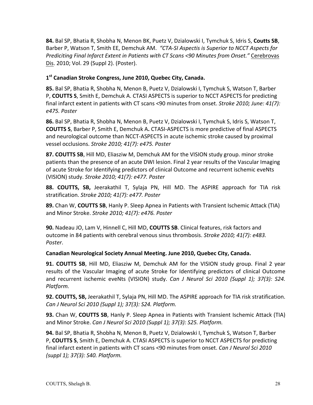84. Bal SP, Bhatia R, Shobha N, Menon BK, Puetz V, Dzialowski I, Tymchuk S, Idris S, Coutts SB, Barber P, Watson T, Smith EE, Demchuk AM. "CTA-SI Aspectis is Superior to NCCT Aspects for *Prediciting Final Infarct Extent in Patients with CT Scans <90 Minutes from Onset."* Cerebrovas Dis. 2010; Vol. 29 (Suppl 2). (Poster).

#### 1<sup>st</sup> Canadian Stroke Congress, June 2010, Quebec City, Canada.

**85.** Bal SP, Bhatia R, Shobha N, Menon B, Puetz V, Dzialowski I, Tymchuk S, Watson T, Barber P, **COUTTS S**, Smith E, Demchuk A. CTASI ASPECTS is superior to NCCT ASPECTS for predicting final infarct extent in patients with CT scans <90 minutes from onset. *Stroke 2010; June: 41(7): e475. Poster*

**86.** Bal SP, Bhatia R, Shobha N, Menon B, Puetz V, Dzialowski I, Tymchuk S, Idris S, Watson T, **COUTTS S, Barber P, Smith E, Demchuk A. CTASI-ASPECTS is more predictive of final ASPECTS** and neurological outcome than NCCT-ASPECTS in acute ischemic stroke caused by proximal vessel occlusions. *Stroke 2010; 41(7): e475. Poster* 

87. COUTTS SB, Hill MD, Eliasziw M, Demchuk AM for the VISION study group. minor stroke patients than the presence of an acute DWI lesion. Final 2 year results of the Vascular Imaging of acute Stroke for Identifying predictors of clinical Outcome and recurrent ischemic eveNts (VISION) study. *Stroke 2010; 41(7): e477. Poster*

**88. COUTTS, SB,** Jeerakathil T, Sylaja PN, Hill MD. The ASPIRE approach for TIA risk stratification. *Stroke 2010; 41(7): e477. Poster*

**89.** Chan W, COUTTS SB, Hanly P. Sleep Apnea in Patients with Transient Ischemic Attack (TIA) and Minor Stroke. *Stroke 2010; 41(7): e476. Poster*

**90.** Nadeau JO, Lam V, Hinnell C, Hill MD, **COUTTS SB**. Clinical features, risk factors and outcome in 84 patients with cerebral venous sinus thrombosis. *Stroke 2010; 41(7): e483. Poster*.

#### **Canadian Neurological Society Annual Meeting. June 2010, Quebec City, Canada.**

**91. COUTTS SB, Hill MD, Eliasziw M, Demchuk AM for the VISION study group. Final 2 year** results of the Vascular Imaging of acute Stroke for Identifying predictors of clinical Outcome and recurrent ischemic eveNts (VISION) study. *Can J Neurol Sci 2010 (Suppl 1); 37(3): S24. Platform.*

**92. COUTTS, SB,** Jeerakathil T, Sylaja PN, Hill MD. The ASPIRE approach for TIA risk stratification. *Can J Neurol Sci 2010 (Suppl 1); 37(3): S24. Platform.*

**93.** Chan W, COUTTS SB, Hanly P. Sleep Apnea in Patients with Transient Ischemic Attack (TIA) and Minor Stroke. *Can J Neurol Sci 2010 (Suppl 1); 37(3): S25. Platform.* 

**94.** Bal SP, Bhatia R, Shobha N, Menon B, Puetz V, Dzialowski I, Tymchuk S, Watson T, Barber P, **COUTTS S**, Smith E, Demchuk A. CTASI ASPECTS is superior to NCCT ASPECTS for predicting final infarct extent in patients with CT scans <90 minutes from onset. *Can J Neurol Sci 2010 (suppl 1); 37(3): S40. Platform.*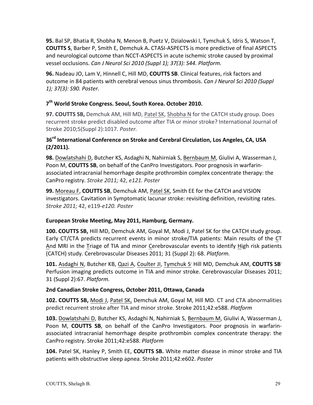**95.** Bal SP, Bhatia R, Shobha N, Menon B, Puetz V, Dzialowski I, Tymchuk S, Idris S, Watson T, **COUTTS S,** Barber P, Smith E, Demchuk A. CTASI-ASPECTS is more predictive of final ASPECTS and neurological outcome than NCCT-ASPECTS in acute ischemic stroke caused by proximal vessel occlusions. *Can J Neurol Sci 2010 (Suppl 1); 37(3): S44. Platform.* 

**96.** Nadeau JO, Lam V, Hinnell C, Hill MD, **COUTTS SB**. Clinical features, risk factors and outcome in 84 patients with cerebral venous sinus thrombosis. *Can J Neurol Sci 2010 (Suppl 1); 37(3): S90. Poster.*

# **7th World Stroke Congress. Seoul, South Korea. October 2010.**

**97. COUTTS SB,** Demchuk AM, Hill MD, Patel SK, Shobha N for the CATCH study group. Does recurrent stroke predict disabled outcome after TIA or minor stroke? International Journal of Stroke 2010;5(Suppl 2):1017. *Poster.*

# 36<sup>rd</sup> International Conference on Stroke and Cerebral Circulation, Los Angeles, CA, USA **(2/2011).**

**98.** Dowlatshahi D, Butcher KS, Asdaghi N, Nahirniak S, Bernbaum M, Giulivi A, Wasserman J, Poon M, **COUTTS SB**, on behalf of the CanPro Investigators. Poor prognosis in warfarinassociated intracranial hemorrhage despite prothrombin complex concentrate therapy: the CanPro registry. *Stroke 2011;* 42, *e121. Poster*

**99.** Moreau F, COUTTS SB, Demchuk AM, Patel SK, Smith EE for the CATCH and VISION investigators. Cavitation in Symptomatic lacunar stroke: revisiting definition, revisiting rates. *Stroke 2011;* 42, e119-*e120. Poster*

# European Stroke Meeting, May 2011, Hamburg, Germany.

**100. COUTTS SB,** Hill MD, Demchuk AM, Goyal M, Modi J, Patel SK for the CATCH study group. Early CT/CTA predicts recurrent events in minor stroke/TIA patients: Main results of the CT And MRI in the Triage of TIA and minor Cerebrovascular events to identify High risk patients (CATCH) study. Cerebrovascular Diseases 2011; 31 (Suppl 2): 68. *Platform.* 

101. Asdaghi N, Butcher KB, Qazi A, Coulter JI, Tymchuk S' Hill MD, Demchuk AM, COUTTS SB' Perfusion imaging predicts outcome in TIA and minor stroke. Cerebrovascular Diseases 2011; 31 (Suppl 2):67. *Platform.*

#### **2nd Canadian Stroke Congress, October 2011, Ottawa, Canada**

**102. COUTTS SB,** Modi J, Patel SK, Demchuk AM, Goyal M, Hill MD. CT and CTA abnormalities predict recurrent stroke after TIA and minor stroke. Stroke 2011;42:e588. *Platform*

**103.** Dowlatshahi D, Butcher KS, Asdaghi N, Nahirniak S, Bernbaum M, Giulivi A, Wasserman J, Poon M, COUTTS SB, on behalf of the CanPro Investigators. Poor prognosis in warfarinassociated intracranial hemorrhage despite prothrombin complex concentrate therapy: the CanPro registry. Stroke 2011;42:e588. *Platform*

104. Patel SK, Hanley P, Smith EE, COUTTS SB. White matter disease in minor stroke and TIA patients with obstructive sleep apnea. Stroke 2011;42:e602. *Poster*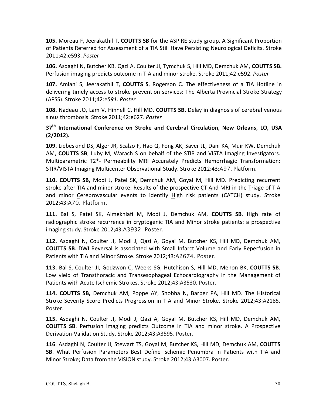**105.** Moreau F, Jeerakathil T, **COUTTS SB** for the ASPIRE study group. A Significant Proportion of Patients Referred for Assessment of a TIA Still Have Persisting Neurological Deficits. Stroke 2011;42:e593. *Poster*

**106.** Asdaghi N, Butcher KB, Qazi A, Coulter JI, Tymchuk S, Hill MD, Demchuk AM, COUTTS SB. Perfusion imaging predicts outcome in TIA and minor stroke. Stroke 2011;42:e592. *Poster* 

**107.** Amlani S, Jeerakathil T, COUTTS S, Rogerson C. The effectiveness of a TIA Hotline in delivering timely access to stroke prevention services: The Alberta Provincial Stroke Strategy (APSS). Stroke 2011;42:e*591. Poster*

**108.** Nadeau JO, Lam V, Hinnell C, Hill MD, **COUTTS SB.** Delay in diagnosis of cerebral venous sinus thrombosis. Stroke 2011;42:e627. Poster

#### 37<sup>th</sup> International Conference on Stroke and Cerebral Circulation, New Orleans, LO, USA **(2/2012).**

109. Liebeskind DS, Alger JR, Scalzo F, Hao Q, Fong AK, Saver JL, Dani KA, Muir KW, Demchuk AM, **COUTTS SB**, Luby M, Warach S on behalf of the STIR and VISTA Imaging Investigators. Multiparametric T2\*- Permeability MRI Accurately Predicts Hemorrhagic Transformation: STIR/VISTA Imaging Multicenter Observational Study. Stroke 2012:43:A97. Platform.

**110. COUTTS SB,** Modi J, Patel SK, Demchuk AM, Goyal M, Hill MD. Predicting recurrent stroke after TIA and minor stroke: Results of the prospective CT And MRI in the Triage of TIA and minor Cerebrovascular events to identify High risk patients (CATCH) study. Stroke 2012:43:A70. Platform.

**111.** Bal S, Patel SK, Almekhlafi M, Modi J, Demchuk AM, COUTTS SB. High rate of radiographic stroke recurrence in cryptogenic TIA and Minor stroke patients: a prospective imaging study. Stroke 2012;43:A3932. Poster.

**112.** Asdaghi N, Coulter JI, Modi J, Qazi A, Goyal M, Butcher KS, Hill MD, Demchuk AM, **COUTTS SB.** DWI Reversal is associated with Small Infarct Volume and Early Reperfusion in Patients with TIA and Minor Stroke. Stroke 2012;43:A2674. Poster.

**113.** Bal S, Coulter JI, Godzwon C, Weeks SG, Hutchison S, Hill MD, Menon BK, COUTTS SB. Low yield of Transthoracic and Transesophageal Echocardiography in the Management of Patients with Acute Ischemic Strokes. Stroke 2012;43:A3530. Poster.

**114. COUTTS SB,** Demchuk AM, Poppe AY, Shobha N, Barber PA, Hill MD. The Historical Stroke Severity Score Predicts Progression in TIA and Minor Stroke. Stroke 2012;43:A2185. Poster.

**115.** Asdaghi N, Coulter JI, Modi J, Qazi A, Goyal M, Butcher KS, Hill MD, Demchuk AM, **COUTTS SB.** Perfusion imaging predicts Outcome in TIA and minor stroke. A Prospective Derivation-Validation Study. Stroke 2012;43:A3595. Poster.

116. Asdaghi N, Coulter JI, Stewart TS, Goyal M, Butcher KS, Hill MD, Demchuk AM, COUTTS **SB.** What Perfusion Parameters Best Define Ischemic Penumbra in Patients with TIA and Minor Stroke; Data from the VISION study. Stroke 2012;43:A3007. Poster.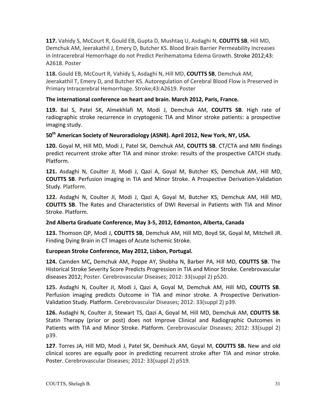**117.** Vahidy S, McCourt R, Gould EB, Gupta D, Mushtaq U, Asdaghi N, COUTTS SB, Hill MD, Demchuk AM, Jeerakathil J, Emery D, Butcher KS. Blood Brain Barrier Permeability Increases in Intracerebral Hemorrhage do not Predict Perihematoma Edema Growth. Stroke 2012;43: A2618. Poster

118. Gould EB, McCourt R, Vahidy S, Asdaghi N, Hill MD, COUTTS SB, Demchuk AM, Jeerakathil T, Emery D, and Butcher KS. Autoregulation of Cerebral Blood Flow is Preserved in Primary Intracerebral Hemorrhage. Stroke;43:A2619. Poster

#### The international conference on heart and brain. March 2012, Paris, France.

**119.** Bal S, Patel SK, Almekhlafi M, Modi J, Demchuk AM, COUTTS SB. High rate of radiographic stroke recurrence in cryptogenic TIA and Minor stroke patients: a prospective imaging study.

# **50th American Society of Neuroradiology (ASNR). April 2012, New York, NY, USA.**

120. Goyal M, Hill MD, Modi J, Patel SK, Demchuk AM, COUTTS SB. CT/CTA and MRI findings predict recurrent stroke after TIA and minor stroke: results of the prospective CATCH study. Platform.

**121.** Asdaghi N, Coulter JI, Modi J, Qazi A, Goyal M, Butcher KS, Demchuk AM, Hill MD, **COUTTS SB.** Perfusion imaging in TIA and Minor Stroke. A Prospective Derivation-Validation Study. Platform.

**122.** Asdaghi N, Coulter JI, Modi J, Qazi A, Goyal M, Butcher KS, Demchuk AM, Hill MD, **COUTTS SB.** The Rates and Characteristics of DWI Reversal in Patients with TIA and Minor Stroke. Platform.

#### **2nd Alberta Graduate Conference, May 3-5, 2012, Edmonton, Alberta, Canada**

**123.** Thomson QP, Modi J, COUTTS SB, Demchuk AM, Hill MD, Boyd SK, Goyal M, Mitchell JR. Finding Dying Brain in CT Images of Acute Ischemic Stroke.

#### European Stroke Conference, May 2012, Lisbon, Portugal.

**124.** Camden MC, Demchuk AM, Poppe AY, Shobha N, Barber PA, Hill MD, COUTTS SB. The Historical Stroke Severity Score Predicts Progression in TIA and Minor Stroke. Cerebrovascular diseases 2012; Poster. Cerebrovascular Diseases; 2012: 33(suppl 2) p520.

**125.** Asdaghi N, Coulter JI, Modi J, Qazi A, Goyal M, Demchuk AM, Hill MD, COUTTS SB. Perfusion imaging predicts Outcome in TIA and minor stroke. A Prospective Derivation-Validation Study. Platform. Cerebrovascular Diseases; 2012: 33(suppl 2) p39.

**126.** Asdaghi N. Coulter JI, Stewart TS, Qazi A, Goval M, Hill MD, Demchuk AM, COUTTS SB. Statin Therapy (prior or post) does not Improve Clinical and Radiographic Outcomes in Patients with TIA and Minor Stroke. Platform. Cerebrovascular Diseases; 2012: 33(suppl 2) p39.

127. Torres JA, Hill MD, Modi J, Patel SK, Demhuck AM, Goyal M, COUTTS SB. New and old clinical scores are equally poor in predicting recurrent stroke after TIA and minor stroke. Poster. Cerebrovascular Diseases; 2012: 33(suppl 2) p519.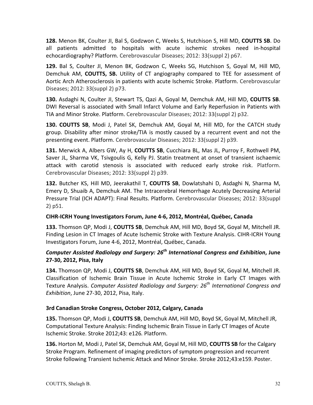**128.** Menon BK, Coulter JI, Bal S, Godzwon C, Weeks S, Hutchison S, Hill MD, COUTTS SB. Do all patients admitted to hospitals with acute ischemic strokes need in-hospital echocardiography? Platform. Cerebrovascular Diseases; 2012: 33(suppl 2) p67.

**129.** Bal S, Coulter JI, Menon BK, Godzwon C, Weeks SG, Hutchison S, Goyal M, Hill MD, Demchuk AM, **COUTTS, SB.** Utility of CT angiography compared to TEE for assessment of Aortic Arch Atherosclerosis in patients with acute Ischemic Stroke. Platform. Cerebrovascular Diseases; 2012: 33(suppl 2) p73.

**130.** Asdaghi N, Coulter JI, Stewart TS, Qazi A, Goyal M, Demchuk AM, Hill MD, COUTTS SB. DWI Reversal is associated with Small Infarct Volume and Early Reperfusion in Patients with TIA and Minor Stroke. Platform. Cerebrovascular Diseases; 2012: 33(suppl 2) p32.

**130. COUTTS SB**, Modi J, Patel SK, Demchuk AM, Goyal M, Hill MD, for the CATCH study group. Disability after minor stroke/TIA is mostly caused by a recurrent event and not the presenting event. Platform. Cerebrovascular Diseases; 2012: 33(suppl 2) p39.

**131.** Merwick A, Albers GW, Ay H, COUTTS SB, Cucchiara BL, Mas JL, Purroy F, Rothwell PM, Saver JL, Sharma VK, Tsivgoulis G, Kelly PJ. Statin treatment at onset of transient ischaemic attack with carotid stenosis is associated with reduced early stroke risk. Platform. Cerebrovascular Diseases; 2012: 33(suppl 2) p39.

**132.** Butcher KS, Hill MD, Jeerakathil T, COUTTS SB, Dowlatshahi D, Asdaghi N, Sharma M, Emery D, Shuaib A, Demchuk AM. The Intracerebral Hemorrhage Acutely Decreasing Arterial Pressure Trial (ICH ADAPT): Final Results. Platform. Cerebrovascular Diseases; 2012: 33(suppl 2) p51.

#### **CIHR-ICRH Young Investigators Forum, June 4-6, 2012, Montréal, Québec, Canada**

**133.** Thomson QP, Modi J, COUTTS SB, Demchuk AM, Hill MD, Boyd SK, Goyal M, Mitchell JR. Finding Lesion in CT Images of Acute Ischemic Stroke with Texture Analysis. CIHR-ICRH Young Investigators Forum, June 4-6, 2012, Montréal, Québec, Canada.

# *Computer Assisted Radiology and Surgery:* 26<sup>th</sup> *International Congress and Exhibition*, June **27-30, 2012, Pisa, Italy**

**134.** Thomson QP, Modi J, COUTTS SB, Demchuk AM, Hill MD, Boyd SK, Goyal M, Mitchell JR. Classification of Ischemic Brain Tissue in Acute Ischemic Stroke in Early CT Images with Texture Analysis. *Computer Assisted Radiology and Surgery:* 26<sup>th</sup> International Congress and *Exhibition*, June 27-30, 2012, Pisa, Italy.

#### **3rd Canadian Stroke Congress, October 2012, Calgary, Canada**

**135.** Thomson QP, Modi J, **COUTTS SB**, Demchuk AM, Hill MD, Boyd SK, Goyal M, Mitchell JR, Computational Texture Analysis: Finding Ischemic Brain Tissue in Early CT Images of Acute Ischemic Stroke. Stroke 2012;43: e126*.* Platform.

**136.** Horton M, Modi J, Patel SK, Demchuk AM, Goyal M, Hill MD, **COUTTS SB** for the Calgary Stroke Program. Refinement of imaging predictors of symptom progression and recurrent Stroke following Transient Ischemic Attack and Minor Stroke. Stroke 2012;43:e159. Poster.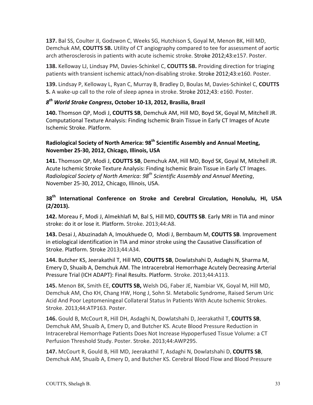**137.** Bal SS, Coulter JI, Godzwon C, Weeks SG, Hutchison S, Goyal M, Menon BK, Hill MD, Demchuk AM. **COUTTS SB.** Utility of CT angiography compared to tee for assessment of aortic arch atherosclerosis in patients with acute ischemic stroke. Stroke 2012;43:e157. Poster.

**138.** Kelloway LJ, Lindsay PM, Davies-Schinkel C, **COUTTS SB.** Providing direction for triaging patients with transient ischemic attack/non-disabling stroke. Stroke 2012;43:e160. Poster.

139. Lindsay P, Kelloway L, Ryan C, Murray B, Bradley D, Boulas M, Davies-Schinkel C, COUTTS **S.** A wake-up call to the role of sleep apnea in stroke. Stroke 2012;43: e160. Poster.

#### *8th World Stroke Congress***, October 10-13, 2012, Brasilia, Brazil**

**140.** Thomson QP, Modi J, COUTTS SB, Demchuk AM, Hill MD, Boyd SK, Goyal M, Mitchell JR. Computational Texture Analysis: Finding Ischemic Brain Tissue in Early CT Images of Acute Ischemic Stroke. Platform.

# Radiological Society of North America: 98<sup>th</sup> Scientific Assembly and Annual Meeting, **November 25-30, 2012, Chicago, Illinois, USA**

**141.** Thomson QP, Modi J, COUTTS SB, Demchuk AM, Hill MD, Boyd SK, Goyal M, Mitchell JR. Acute Ischemic Stroke Texture Analysis: Finding Ischemic Brain Tissue in Early CT Images. *Radiological Society of North America: 98th Scientific Assembly and Annual Meeting*, November 25-30, 2012, Chicago, Illinois, USA.

# 38<sup>th</sup> International Conference on Stroke and Cerebral Circulation, Honolulu, HI, USA **(2/2013).**

**142.** Moreau F, Modi J, Almekhlafi M, Bal S, Hill MD, COUTTS SB. Early MRI in TIA and minor stroke: do it or lose it. Platform. Stroke. 2013;44:A8.

**143.** Desai J, Abuzinadah A, Imoukhuede O, Modi J, Bernbaum M, COUTTS SB. Improvement in etiological identification in TIA and minor stroke using the Causative Classification of Stroke. Platform. Stroke 2013;44:A34.

144. Butcher KS, Jeerakathil T, Hill MD, **COUTTS SB**, Dowlatshahi D, Asdaghi N, Sharma M, Emery D, Shuaib A, Demchuk AM. The Intracerebral Hemorrhage Acutely Decreasing Arterial Pressure Trial (ICH ADAPT): Final Results. Platform. Stroke. 2013;44:A113.

**145.** Menon BK, Smith EE, COUTTS SB, Welsh DG, Faber JE, Nambiar VK, Goyal M, Hill MD, Demchuk AM, Cho KH, Chang HW, Hong J, Sohn SI. Metabolic Syndrome, Raised Serum Uric Acid And Poor Leptomeningeal Collateral Status In Patients With Acute Ischemic Strokes. Stroke. 2013;44:ATP163. Poster.

**146.** Gould B, McCourt R, Hill DH, Asdaghi N, Dowlatshahi D, Jeerakathil T, COUTTS SB, Demchuk AM, Shuaib A, Emery D, and Butcher KS. Acute Blood Pressure Reduction in Intracerebral Hemorrhage Patients Does Not Increase Hypoperfused Tissue Volume: a CT Perfusion Threshold Study. Poster. Stroke. 2013;44:AWP295.

147. McCourt R, Gould B, Hill MD, Jeerakathil T, Asdaghi N, Dowlatshahi D, COUTTS SB, Demchuk AM, Shuaib A, Emery D, and Butcher KS. Cerebral Blood Flow and Blood Pressure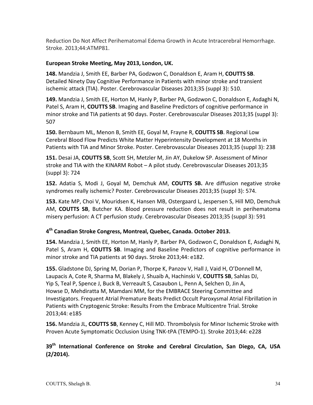Reduction Do Not Affect Perihematomal Edema Growth in Acute Intracerebral Hemorrhage. Stroke. 2013;44:ATMP81.

# European Stroke Meeting, May 2013, London, UK.

**148.** Mandzia J, Smith EE, Barber PA, Godzwon C, Donaldson E, Aram H, COUTTS SB. Detailed Ninety Day Cognitive Performance in Patients with minor stroke and transient ischemic attack (TIA). Poster. Cerebrovascular Diseases 2013;35 (suppl 3): 510.

**149.** Mandzia J, Smith EE, Horton M, Hanly P, Barber PA, Godzwon C, Donaldson E, Asdaghi N, Patel S, Aram H, **COUTTS SB**. Imaging and Baseline Predictors of cognitive performance in minor stroke and TIA patients at 90 days. Poster. Cerebrovascular Diseases 2013;35 (suppl 3): 507

**150.** Bernbaum ML, Menon B, Smith EE, Goyal M, Frayne R, COUTTS SB. Regional Low Cerebral Blood Flow Predicts White Matter Hyperintensity Development at 18 Months in Patients with TIA and Minor Stroke. Poster. Cerebrovascular Diseases 2013;35 (suppl 3): 238

151. Desai JA, COUTTS SB, Scott SH, Metzler M, Jin AY, Dukelow SP. Assessment of Minor stroke and TIA with the KINARM Robot - A pilot study. Cerebrovascular Diseases 2013;35 (suppl 3): 724

**152.** Adatia S, Modi J, Goyal M, Demchuk AM, **COUTTS SB.** Are diffusion negative stroke syndromes really ischemic? Poster. Cerebrovascular Diseases 2013;35 (suppl 3): 574.

**153.** Kate MP, Choi V, Mouridsen K, Hansen MB, Ostergaard L, Jespersen S, Hill MD, Demchuk AM, **COUTTS SB**, Butcher KA. Blood pressure reduction does not result in perihematoma misery perfusion: A CT perfusion study. Cerebrovascular Diseases 2013;35 (suppl 3): 591

# **4th Canadian Stroke Congress, Montreal, Quebec, Canada. October 2013.**

154. Mandzia J, Smith EE, Horton M, Hanly P, Barber PA, Godzwon C, Donaldson E, Asdaghi N, Patel S, Aram H, **COUTTS SB**. Imaging and Baseline Predictors of cognitive performance in minor stroke and TIA patients at 90 days. Stroke 2013;44: e182.

**155.** Gladstone DJ, Spring M, Dorian P, Thorpe K, Panzov V, Hall J, Vaid H, O'Donnell M, Laupacis A, Cote R, Sharma M, Blakely J, Shuaib A, Hachinski V, **COUTTS SB**, Sahlas DJ, Yip S, Teal P, Spence J, Buck B, Verreault S, Casaubon L, Penn A, Selchen D, Jin A, Howse D, Mehdiratta M, Mamdani MM, for the EMBRACE Steering Committee and Investigators. Frequent Atrial Premature Beats Predict Occult Paroxysmal Atrial Fibrillation in Patients with Cryptogenic Stroke: Results From the Embrace Multicentre Trial. Stroke 2013;44: e185

**156.** Mandzia JL, **COUTTS SB**, Kenney C, Hill MD. Thrombolysis for Minor Ischemic Stroke with Proven Acute Symptomatic Occlusion Using TNK-tPA (TEMPO-1). Stroke 2013;44: e228

# 39<sup>th</sup> International Conference on Stroke and Cerebral Circulation, San Diego, CA, USA **(2/2014).**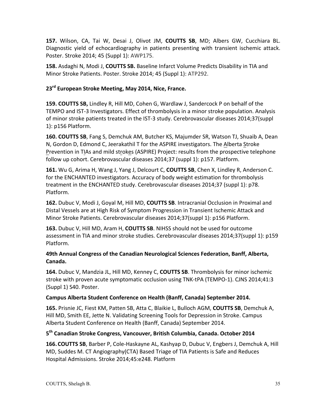**157.** Wilson, CA, Tai W, Desai J, Olivot JM, **COUTTS SB**, MD; Albers GW, Cucchiara BL. Diagnostic yield of echocardiography in patients presenting with transient ischemic attack. Poster. Stroke 2014; 45 (Suppl 1): AWP175.

**158.** Asdaghi N, Modi J, COUTTS SB. Baseline Infarct Volume Predicts Disability in TIA and Minor Stroke Patients. Poster. Stroke 2014; 45 (Suppl 1): ATP292.

#### **23rd European Stroke Meeting, May 2014, Nice, France.**

**159. COUTTS SB,** Lindley R, Hill MD, Cohen G, Wardlaw J, Sandercock P on behalf of the TEMPO and IST-3 Investigators. Effect of thrombolysis in a minor stroke population. Analysis of minor stroke patients treated in the IST-3 study. Cerebrovascular diseases 2014;37(suppl 1): p156 Platform.

**160. COUTTS SB, Fang S, Demchuk AM, Butcher KS, Majumder SR, Watson TJ, Shuaib A, Dean** N, Gordon D, Edmond C, Jeerakathil T for the ASPIRE investigators. The Alberta Stroke Prevention in TIAs and mild strokes (ASPIRE) Project: results from the prospective telephone follow up cohort. Cerebrovascular diseases 2014;37 (suppl 1): p157. Platform.

**161.** Wu G, Arima H, Wang J, Yang J, Delcourt C, **COUTTS SB**, Chen X, Lindley R, Anderson C. for the ENCHANTED investigators. Accuracy of body weight estimation for thrombolysis treatment in the ENCHANTED study. Cerebrovascular diseases 2014;37 (suppl 1): p78. Platform.

162. Dubuc V, Modi J, Goyal M, Hill MD, COUTTS SB. Intracranial Occlusion in Proximal and Distal Vessels are at High Risk of Symptom Progression in Transient Ischemic Attack and Minor Stroke Patients. Cerebrovascular diseases 2014;37(suppl 1): p156 Platform.

**163.** Dubuc V, Hill MD, Aram H, COUTTS SB. NIHSS should not be used for outcome assessment in TIA and minor stroke studies. Cerebrovascular diseases 2014;37(suppl 1): p159 Platform.

# **49th Annual Congress of the Canadian Neurological Sciences Federation, Banff, Alberta, Canada.**

164. Dubuc V, Mandzia JL, Hill MD, Kenney C, **COUTTS SB**. Thrombolysis for minor ischemic stroke with proven acute symptomatic occlusion using TNK-tPA (TEMPO-1). CJNS 2014;41:3 (Suppl 1) S40. Poster.

#### Campus Alberta Student Conference on Health (Banff, Canada) September 2014.

**165.** Prisnie JC, Fiest KM, Patten SB, Atta C, Blaikie L, Bulloch AGM, COUTTS SB, Demchuk A, Hill MD, Smith EE, Jette N. Validating Screening Tools for Depression in Stroke. Campus Alberta Student Conference on Health (Banff, Canada) September 2014.

#### **5th Canadian Stroke Congress, Vancouver, British Columbia, Canada. October 2014**

166. COUTTS SB, Barber P, Cole-Haskayne AL, Kashyap D, Dubuc V, Engbers J, Demchuk A, Hill MD, Suddes M. CT Angiography(CTA) Based Triage of TIA Patients is Safe and Reduces Hospital Admissions. Stroke 2014;45:e248. Platform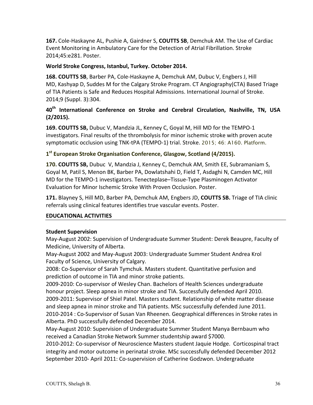**167.** Cole-Haskayne AL, Pushie A, Gairdner S, **COUTTS SB**, Demchuk AM. The Use of Cardiac Event Monitoring in Ambulatory Care for the Detection of Atrial Fibrillation. Stroke 2014;45:e281. Poster.

#### World Stroke Congress, Istanbul, Turkey. October 2014.

**168. COUTTS SB, Barber PA, Cole-Haskayne A, Demchuk AM, Dubuc V, Engbers J, Hill** MD, Kashyap D, Suddes M for the Calgary Stroke Program. CT Angiography(CTA) Based Triage of TIA Patients is Safe and Reduces Hospital Admissions. International Journal of Stroke. 2014;9 (Suppl. 3):304.

# 40<sup>th</sup> International Conference on Stroke and Cerebral Circulation, Nashville, TN, USA **(2/2015).**

**169. COUTTS SB,** Dubuc V, Mandzia JL, Kenney C, Goyal M, Hill MD for the TEMPO-1 investigators. Final results of the thrombolysis for minor ischemic stroke with proven acute symptomatic occlusion using TNK-tPA (TEMPO-1) trial. Stroke. 2015; 46: A160. Platform.

#### 1<sup>st</sup> European Stroke Organisation Conference, Glasgow, Scotland (4/2015).

**170. COUTTS SB,** Dubuc V, Mandzia J, Kenney C, Demchuk AM, Smith EE, Subramaniam S, Goyal M, Patil S, Menon BK, Barber PA, Dowlatshahi D, Field T, Asdaghi N, Camden MC, Hill MD for the TEMPO-1 investigators. Tenecteplase–Tissue-Type Plasminogen Activator Evaluation for Minor Ischemic Stroke With Proven Occlusion. Poster.

**171.** Blayney S, Hill MD, Barber PA, Demchuk AM, Engbers JD, **COUTTS SB.** Triage of TIA clinic referrals using clinical features identifies true vascular events. Poster.

#### **EDUCATIONAL ACTIVITIES**

#### **Student Supervision**

May-August 2002: Supervision of Undergraduate Summer Student: Derek Beaupre, Faculty of Medicine, University of Alberta.

May-August 2002 and May-August 2003: Undergraduate Summer Student Andrea Krol Faculty of Science, University of Calgary.

2008: Co-Supervisor of Sarah Tymchuk. Masters student. Quantitative perfusion and prediction of outcome in TIA and minor stroke patients.

2009-2010: Co-supervisor of Wesley Chan. Bachelors of Health Sciences undergraduate honour project. Sleep apnea in minor stroke and TIA. Successfully defended April 2010. 2009-2011: Supervisor of Shiel Patel. Masters student. Relationship of white matter disease and sleep apnea in minor stroke and TIA patients. MSc successfully defended June 2011. 2010-2014 : Co-Supervisor of Susan Van Rheenen. Geographical differences in Stroke rates in Alberta. PhD successfully defended December 2014.

May-August 2010: Supervision of Undergraduate Summer Student Manya Bernbaum who received a Canadian Stroke Network Summer studentship award \$7000.

2010-2012: Co-supervisor of Neuroscience Masters student Jaquie Hodge. Corticospinal tract integrity and motor outcome in perinatal stroke. MSc successfully defended December 2012 September 2010- April 2011: Co-supervision of Catherine Godzwon. Undergraduate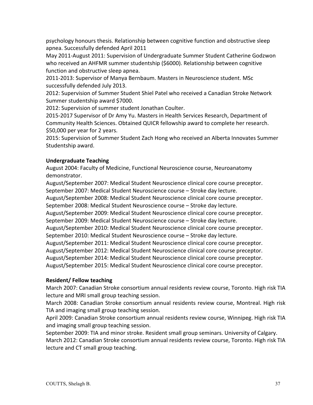psychology honours thesis. Relationship between cognitive function and obstructive sleep apnea. Successfully defended April 2011

May 2011-August 2011: Supervision of Undergraduate Summer Student Catherine Godzwon who received an AHFMR summer studentship (\$6000). Relationship between cognitive function and obstructive sleep apnea.

2011-2013: Supervisor of Manya Bernbaum. Masters in Neuroscience student. MSc successfully defended July 2013.

2012: Supervision of Summer Student Shiel Patel who received a Canadian Stroke Network Summer studentship award \$7000.

2012: Supervision of summer student Jonathan Coulter.

2015-2017 Supervisor of Dr Amy Yu. Masters in Health Services Research, Department of Community Health Sciences. Obtained QUICR fellowship award to complete her research. \$50,000 per year for 2 years.

2015: Supervision of Summer Student Zach Hong who received an Alberta Innovates Summer Studentship award.

# **Undergraduate Teaching**

August 2004: Faculty of Medicine, Functional Neuroscience course, Neuroanatomy demonstrator.

August/September 2007: Medical Student Neuroscience clinical core course preceptor. September 2007: Medical Student Neuroscience course - Stroke day lecture.

August/September 2008: Medical Student Neuroscience clinical core course preceptor.

September 2008: Medical Student Neuroscience course - Stroke day lecture.

August/September 2009: Medical Student Neuroscience clinical core course preceptor.

September 2009: Medical Student Neuroscience course - Stroke day lecture.

August/September 2010: Medical Student Neuroscience clinical core course preceptor. September 2010: Medical Student Neuroscience course - Stroke day lecture.

August/September 2011: Medical Student Neuroscience clinical core course preceptor.

August/September 2012: Medical Student Neuroscience clinical core course preceptor.

August/September 2014: Medical Student Neuroscience clinical core course preceptor.

August/September 2015: Medical Student Neuroscience clinical core course preceptor.

#### **Resident/ Fellow teaching**

March 2007: Canadian Stroke consortium annual residents review course, Toronto. High risk TIA lecture and MRI small group teaching session.

March 2008: Canadian Stroke consortium annual residents review course, Montreal. High risk TIA and imaging small group teaching session.

April 2009: Canadian Stroke consortium annual residents review course, Winnipeg. High risk TIA and imaging small group teaching session.

September 2009: TIA and minor stroke. Resident small group seminars. University of Calgary. March 2012: Canadian Stroke consortium annual residents review course, Toronto. High risk TIA lecture and CT small group teaching.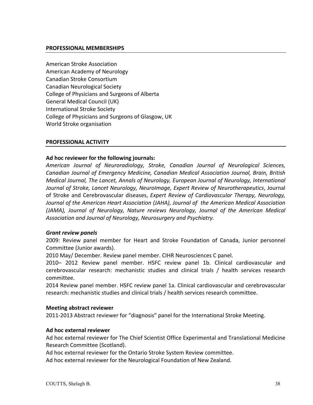#### **PROFESSIONAL MEMBERSHIPS**

American Stroke Association American Academy of Neurology Canadian Stroke Consortium Canadian Neurological Society College of Physicians and Surgeons of Alberta General Medical Council (UK) International Stroke Society College of Physicians and Surgeons of Glasgow, UK World Stroke organisation

#### **PROFESSIONAL ACTIVITY**

#### Ad hoc reviewer for the following journals:

*American Journal of Neuroradiology, Stroke, Canadian Journal of Neurological Sciences,*  Canadian Journal of Emergency Medicine, Canadian Medical Association Journal, Brain, British *Medical Journal, The Lancet, Annals of Neurology, European Journal of Neurology, International* Journal of Stroke, Lancet Neurology, NeuroImage, *Expert Review of Neurotherapeutics*, Journal of Stroke and Cerebrovascular diseases, *Expert Review of Cardiovascular Therapy, Neurology,* Journal of the American Heart Association (JAHA), Journal of the American Medical Association (JAMA), Journal of Neurology, Nature reviews Neurology, Journal of the American Medical Association and Journal of Neurology, Neurosurgery and Psychiatry.

#### *Grant review panels*

2009: Review panel member for Heart and Stroke Foundation of Canada, Junior personnel Committee (Junior awards).

2010 May/ December. Review panel member. CIHR Neurosciences C panel.

2010– 2012 Review panel member. HSFC review panel 1b. Clinical cardiovascular and cerebrovascular research: mechanistic studies and clinical trials / health services research committee.

2014 Review panel member. HSFC review panel 1a. Clinical cardiovascular and cerebrovascular research: mechanistic studies and clinical trials / health services research committee.

#### **Meeting abstract reviewer**

2011-2013 Abstract reviewer for "diagnosis" panel for the International Stroke Meeting.

#### **Ad hoc external reviewer**

Ad hoc external reviewer for The Chief Scientist Office Experimental and Translational Medicine Research Committee (Scotland).

Ad hoc external reviewer for the Ontario Stroke System Review committee.

Ad hoc external reviewer for the Neurological Foundation of New Zealand.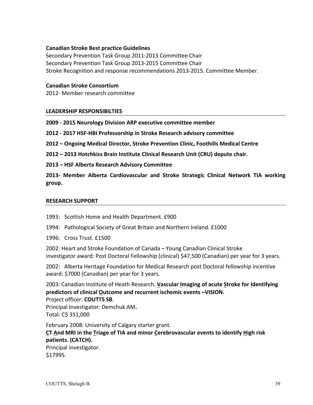#### **Canadian Stroke Best practice Guidelines**

Secondary Prevention Task Group 2011-2013 Committee Chair Secondary Prevention Task Group 2013-2015 Committee Chair Stroke Recognition and response recommendations 2013-2015. Committee Member.

#### **Canadian Stroke Consortium**

2012- Member research committee

#### **LEADERSHIP RESPONSIBILTIES**

**2009 - 2015 Neurology Division ARP executive committee member**

**2012 - 2017 HSF-HBI Professorship in Stroke Research advisory committee**

**2012 – Ongoing Medical Director, Stroke Prevention Clinic, Foothills Medical Centre**

**2012 – 2013 Hotchkiss Brain Institute Clinical Research Unit (CRU) depute chair.**

**2013 – HSF Alberta Research Advisory Committee**

**2013- Member Alberta Cardiovascular and Stroke Strategic Clinical Network TIA working group.**

#### **RESEARCH SUPPORT**

- 1993: Scottish Home and Health Department. £900
- 1994: Pathological Society of Great Britain and Northern Ireland. £1000
- 1996: Cross Trust. £1500

2002: Heart and Stroke Foundation of Canada – Young Canadian Clinical Stroke investigator award: Post Doctoral Fellowship (clinical) \$47,500 (Canadian) per year for 3 years.

2002: Alberta Heritage Foundation for Medical Research post Doctoral fellowship incentive award: \$7000 (Canadian) per year for 3 years.

2003: Canadian Institute of Heath Research. Vascular Imaging of acute Stroke for Identifying predictors of clinical Outcome and recurrent ischemic events -VISION. Project officer: **COUTTS SB.** 

Principal Investigator: Demchuk AM. Total: C\$ 351,000

February 2008: University of Calgary starter grant. CT And MRI in the Triage of TIA and minor Cerebrovascular events to identify High risk **patients. (CATCH).** Principal investigator. \$17995.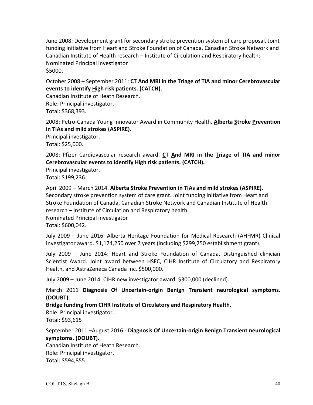June 2008: Development grant for secondary stroke prevention system of care proposal. Joint funding initiative from Heart and Stroke Foundation of Canada, Canadian Stroke Network and Canadian Institute of Health research – Institute of Circulation and Respiratory health: Nominated Principal investigator \$5000.

October 2008 – September 2011: CT And MRI in the Triage of TIA and minor Cerebrovascular events to identify High risk patients. (CATCH).

Canadian Institute of Heath Research. Role: Principal investigator. Total: \$368,393.

2008: Petro-Canada Young Innovator Award in Community Health. Alberta Stroke Prevention in TIAs and mild strokes (ASPIRE).

Principal investigator. Total: \$25,000.

2008: Pfizer Cardiovascular research award. CT And MRI in the Triage of TIA and minor Cerebrovascular events to identify High risk patients. (CATCH).

Principal investigator.

Total: \$199,236.

April 2009 – March 2014. Alberta Stroke Prevention in TIAs and mild strokes (ASPIRE). Secondary stroke prevention system of care grant. Joint funding initiative from Heart and Stroke Foundation of Canada, Canadian Stroke Network and Canadian Institute of Health research – Institute of Circulation and Respiratory health: Nominated Principal investigator Total: \$600,042. 

July 2009 - June 2016: Alberta Heritage Foundation for Medical Research (AHFMR) Clinical Investigator award. \$1,174,250 over 7 years (including \$299,250 establishment grant).

July 2009 – June 2014: Heart and Stroke Foundation of Canada, Distinguished clinician Scientist Award. Joint award between HSFC, CIHR Institute of Circulatory and Respiratory Health, and AstraZeneca Canada Inc. \$500,000.

July 2009 - June 2014: CIHR new investigator award. \$300,000 (declined).

March 2011 Diagnosis Of Uncertain-origin Benign Transient neurological symptoms. **(DOUBT).** 

Bridge funding from CIHR Institute of Circulatory and Respiratory Health.

Role: Principal investigator. Total: \$93,615

September 2011 -August 2016 - Diagnosis Of Uncertain-origin Benign Transient neurological symptoms. (DOUBT).

Canadian Institute of Heath Research. Role: Principal investigator. Total: \$594,855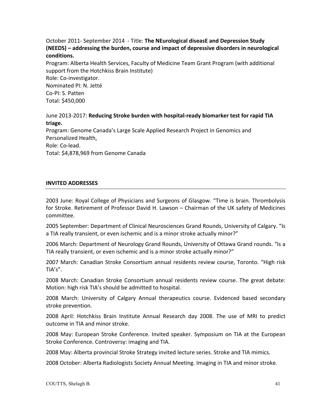#### October 2011- September 2014 - Title: **The NEurological diseasE and Depression Study (NEEDS)** – addressing the burden, course and impact of depressive disorders in neurological **conditions.**

Program: Alberta Health Services, Faculty of Medicine Team Grant Program (with additional support from the Hotchkiss Brain Institute)

Role: Co-investigator. Nominated PI: N. Jetté Co-PI: S. Patten Total: \$450,000

#### June 2013-2017: **Reducing Stroke burden with hospital-ready biomarker test for rapid TIA triage.**

Program: Genome Canada's Large Scale Applied Research Project in Genomics and Personalized Health,

Role: Co-lead.

Total: \$4,878,969 from Genome Canada

#### **INVITED ADDRESSES**

2003 June: Royal College of Physicians and Surgeons of Glasgow. "Time is brain. Thrombolysis for Stroke. Retirement of Professor David H. Lawson - Chairman of the UK safety of Medicines committee.

2005 September: Department of Clinical Neurosciences Grand Rounds, University of Calgary. "Is a TIA really transient, or even ischemic and is a minor stroke actually minor?"

2006 March: Department of Neurology Grand Rounds, University of Ottawa Grand rounds. "Is a TIA really transient, or even ischemic and is a minor stroke actually minor?"

2007 March: Canadian Stroke Consortium annual residents review course, Toronto. "High risk TIA's". 

2008 March: Canadian Stroke Consortium annual residents review course. The great debate: Motion: high risk TIA's should be admitted to hospital.

2008 March: University of Calgary Annual therapeutics course. Evidenced based secondary stroke prevention.

2008 April: Hotchkiss Brain Institute Annual Research day 2008. The use of MRI to predict outcome in TIA and minor stroke.

2008 May: European Stroke Conference. Invited speaker. Symposium on TIA at the European Stroke Conference. Controversy: imaging and TIA.

2008 May: Alberta provincial Stroke Strategy invited lecture series. Stroke and TIA mimics.

2008 October: Alberta Radiologists Society Annual Meeting. Imaging in TIA and minor stroke.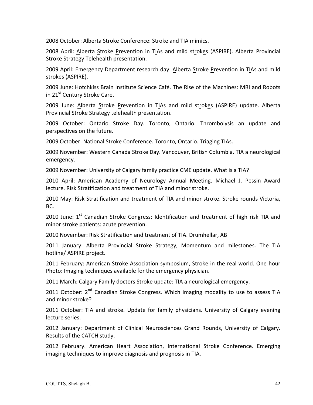2008 October: Alberta Stroke Conference: Stroke and TIA mimics.

2008 April: Alberta Stroke Prevention in TIAs and mild strokes (ASPIRE). Alberta Provincial Stroke Strategy Telehealth presentation.

2009 April: Emergency Department research day: Alberta Stroke Prevention in TIAs and mild strokes (ASPIRE).

2009 June: Hotchkiss Brain Institute Science Café. The Rise of the Machines: MRI and Robots in 21<sup>st</sup> Century Stroke Care.

2009 June: Alberta Stroke Prevention in TIAs and mild strokes (ASPIRE) update. Alberta Provincial Stroke Strategy telehealth presentation.

2009 October: Ontario Stroke Day. Toronto, Ontario. Thrombolysis an update and perspectives on the future.

2009 October: National Stroke Conference. Toronto, Ontario. Triaging TIAs.

2009 November: Western Canada Stroke Day. Vancouver, British Columbia. TIA a neurological emergency.

2009 November: University of Calgary family practice CME update. What is a TIA?

2010 April: American Academy of Neurology Annual Meeting. Michael J. Pessin Award lecture. Risk Stratification and treatment of TIA and minor stroke.

2010 May: Risk Stratification and treatment of TIA and minor stroke. Stroke rounds Victoria, BC.

2010 June:  $1<sup>st</sup>$  Canadian Stroke Congress: Identification and treatment of high risk TIA and minor stroke patients: acute prevention.

2010 November: Risk Stratification and treatment of TIA. Drumhellar, AB

2011 January: Alberta Provincial Stroke Strategy, Momentum and milestones. The TIA hotline/ ASPIRE project.

2011 February: American Stroke Association symposium, Stroke in the real world. One hour Photo: Imaging techniques available for the emergency physician.

2011 March: Calgary Family doctors Stroke update: TIA a neurological emergency.

2011 October: 2<sup>nd</sup> Canadian Stroke Congress. Which imaging modality to use to assess TIA and minor stroke?

2011 October: TIA and stroke. Update for family physicians. University of Calgary evening lecture series.

2012 January: Department of Clinical Neurosciences Grand Rounds, University of Calgary. Results of the CATCH study.

2012 February. American Heart Association, International Stroke Conference. Emerging imaging techniques to improve diagnosis and prognosis in TIA.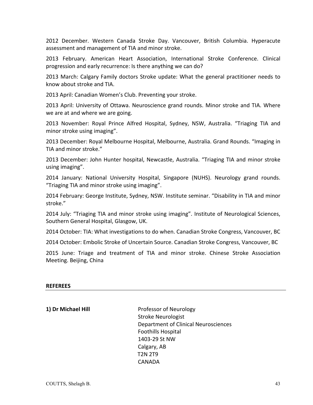2012 December. Western Canada Stroke Day. Vancouver, British Columbia. Hyperacute assessment and management of TIA and minor stroke.

2013 February. American Heart Association, International Stroke Conference. Clinical progression and early recurrence: Is there anything we can do?

2013 March: Calgary Family doctors Stroke update: What the general practitioner needs to know about stroke and TIA.

2013 April: Canadian Women's Club. Preventing your stroke.

2013 April: University of Ottawa. Neuroscience grand rounds. Minor stroke and TIA. Where we are at and where we are going.

2013 November: Royal Prince Alfred Hospital, Sydney, NSW, Australia. "Triaging TIA and minor stroke using imaging".

2013 December: Royal Melbourne Hospital, Melbourne, Australia. Grand Rounds. "Imaging in TIA and minor stroke."

2013 December: John Hunter hospital, Newcastle, Australia. "Triaging TIA and minor stroke using imaging".

2014 January: National University Hospital, Singapore (NUHS). Neurology grand rounds. "Triaging TIA and minor stroke using imaging".

2014 February: George Institute, Sydney, NSW. Institute seminar. "Disability in TIA and minor stroke."

2014 July: "Triaging TIA and minor stroke using imaging". Institute of Neurological Sciences, Southern General Hospital, Glasgow, UK.

2014 October: TIA: What investigations to do when. Canadian Stroke Congress, Vancouver, BC

2014 October: Embolic Stroke of Uncertain Source. Canadian Stroke Congress, Vancouver, BC

2015 June: Triage and treatment of TIA and minor stroke. Chinese Stroke Association Meeting. Beijing, China

#### **REFEREES**

**1) Dr Michael Hill Comparent Professor of Neurology** Stroke Neurologist Department of Clinical Neurosciences Foothills Hospital 1403-29 St NW Calgary, AB T2N 2T9 **CANADA**